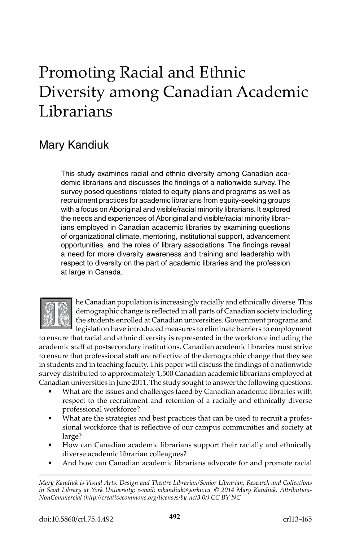# Promoting Racial and Ethnic Diversity among Canadian Academic Librarians

# Mary Kandiuk

This study examines racial and ethnic diversity among Canadian academic librarians and discusses the findings of a nationwide survey. The survey posed questions related to equity plans and programs as well as recruitment practices for academic librarians from equity-seeking groups with a focus on Aboriginal and visible/racial minority librarians. It explored the needs and experiences of Aboriginal and visible/racial minority librarians employed in Canadian academic libraries by examining questions of organizational climate, mentoring, institutional support, advancement opportunities, and the roles of library associations. The findings reveal a need for more diversity awareness and training and leadership with respect to diversity on the part of academic libraries and the profession at large in Canada.



he Canadian population is increasingly racially and ethnically diverse. This demographic change is reflected in all parts of Canadian society including the students enrolled at Canadian universities. Government programs and legislation have introduced measures to eliminate barriers to employment

to ensure that racial and ethnic diversity is represented in the workforce including the academic staff at postsecondary institutions. Canadian academic libraries must strive to ensure that professional staff are reflective of the demographic change that they see in students and in teaching faculty. This paper will discuss the findings of a nationwide survey distributed to approximately 1,500 Canadian academic librarians employed at Canadian universities in June 2011. The study sought to answer the following questions:

- What are the issues and challenges faced by Canadian academic libraries with respect to the recruitment and retention of a racially and ethnically diverse professional workforce?
- What are the strategies and best practices that can be used to recruit a professional workforce that is reflective of our campus communities and society at large?
- How can Canadian academic librarians support their racially and ethnically diverse academic librarian colleagues?
- And how can Canadian academic librarians advocate for and promote racial

*Mary Kandiuk is Visual Arts, Design and Theatre Librarian/Senior Librarian, Research and Collections in Scott Library at York University; e-mail: mkandiuk@yorku.ca. © 2014 Mary Kandiuk, Attribution-NonCommercial (http://creativecommons.org/licenses/by-nc/3.0/) CC BY-NC*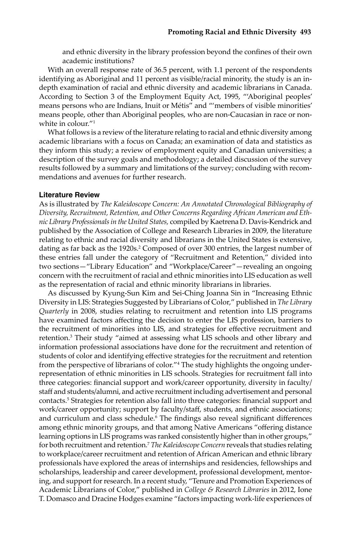and ethnic diversity in the library profession beyond the confines of their own academic institutions?

With an overall response rate of 36.5 percent, with 1.1 percent of the respondents identifying as Aboriginal and 11 percent as visible/racial minority, the study is an indepth examination of racial and ethnic diversity and academic librarians in Canada. According to Section 3 of the Employment Equity Act, 1995, "'Aboriginal peoples' means persons who are Indians, Inuit or Métis" and "'members of visible minorities' means people, other than Aboriginal peoples, who are non-Caucasian in race or nonwhite in colour."1

What follows is a review of the literature relating to racial and ethnic diversity among academic librarians with a focus on Canada; an examination of data and statistics as they inform this study; a review of employment equity and Canadian universities; a description of the survey goals and methodology; a detailed discussion of the survey results followed by a summary and limitations of the survey; concluding with recommendations and avenues for further research.

### **Literature Review**

As is illustrated by *The Kaleidoscope Concern: An Annotated Chronological Bibliography of Diversity, Recruitment, Retention, and Other Concerns Regarding African American and Ethnic Library Professionals in the United States,* compiled by Kaetrena D. Davis-Kendrick and published by the Association of College and Research Libraries in 2009, the literature relating to ethnic and racial diversity and librarians in the United States is extensive, dating as far back as the 1920s.<sup>2</sup> Composed of over 300 entries, the largest number of these entries fall under the category of "Recruitment and Retention," divided into two sections—"Library Education" and "Workplace/Career"—revealing an ongoing concern with the recruitment of racial and ethnic minorities into LIS education as well as the representation of racial and ethnic minority librarians in libraries.

As discussed by Kyung-Sun Kim and Sei-Ching Joanna Sin in "Increasing Ethnic Diversity in LIS: Strategies Suggested by Librarians of Color," published in *The Library Quarterly* in 2008, studies relating to recruitment and retention into LIS programs have examined factors affecting the decision to enter the LIS profession, barriers to the recruitment of minorities into LIS, and strategies for effective recruitment and retention.<sup>3</sup> Their study "aimed at assessing what LIS schools and other library and information professional associations have done for the recruitment and retention of students of color and identifying effective strategies for the recruitment and retention from the perspective of librarians of color."<sup>4</sup> The study highlights the ongoing underrepresentation of ethnic minorities in LIS schools. Strategies for recruitment fall into three categories: financial support and work/career opportunity, diversity in faculty/ staff and students/alumni, and active recruitment including advertisement and personal contacts.5 Strategies for retention also fall into three categories: financial support and work/career opportunity; support by faculty/staff, students, and ethnic associations; and curriculum and class schedule.<sup>6</sup> The findings also reveal significant differences among ethnic minority groups, and that among Native Americans "offering distance learning options in LIS programs was ranked consistently higher than in other groups," for both recruitment and retention.7 *The Kaleidoscope Concern* reveals that studies relating to workplace/career recruitment and retention of African American and ethnic library professionals have explored the areas of internships and residencies, fellowships and scholarships, leadership and career development, professional development, mentoring, and support for research. In a recent study, "Tenure and Promotion Experiences of Academic Librarians of Color," published in *College & Research Libraries* in 2012, Ione T. Domasco and Dracine Hodges examine "factors impacting work-life experiences of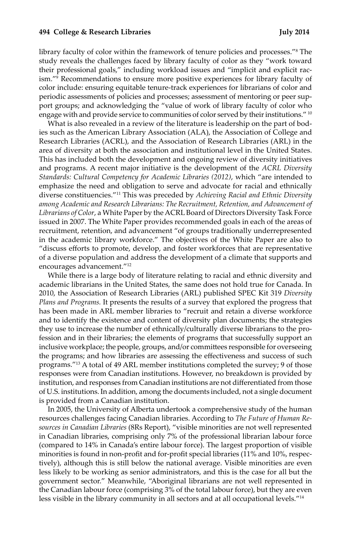#### **494 College & Research Libraries July 2014**

library faculty of color within the framework of tenure policies and processes."8 The study reveals the challenges faced by library faculty of color as they "work toward their professional goals," including workload issues and "implicit and explicit racism."<sup>9</sup> Recommendations to ensure more positive experiences for library faculty of color include: ensuring equitable tenure-track experiences for librarians of color and periodic assessments of policies and processes; assessment of mentoring or peer support groups; and acknowledging the "value of work of library faculty of color who engage with and provide service to communities of color served by their institutions." <sup>10</sup>

What is also revealed in a review of the literature is leadership on the part of bodies such as the American Library Association (ALA), the Association of College and Research Libraries (ACRL), and the Association of Research Libraries (ARL) in the area of diversity at both the association and institutional level in the United States. This has included both the development and ongoing review of diversity initiatives and programs. A recent major initiative is the development of the *ACRL Diversity Standards: Cultural Competency for Academic Libraries (2012)*, which "are intended to emphasize the need and obligation to serve and advocate for racial and ethnically diverse constituencies."11 This was preceded by *Achieving Racial and Ethnic Diversity among Academic and Research Librarians: The Recruitment, Retention, and Advancement of Librarians of Color*, a White Paper by the ACRL Board of Directors Diversity Task Force issued in 2007. The White Paper provides recommended goals in each of the areas of recruitment, retention, and advancement "of groups traditionally underrepresented in the academic library workforce." The objectives of the White Paper are also to "discuss efforts to promote, develop, and foster workforces that are representative of a diverse population and address the development of a climate that supports and encourages advancement."12

While there is a large body of literature relating to racial and ethnic diversity and academic librarians in the United States, the same does not hold true for Canada. In 2010, the Association of Research Libraries (ARL) published SPEC Kit 319 *Diversity Plans and Programs.* It presents the results of a survey that explored the progress that has been made in ARL member libraries to "recruit and retain a diverse workforce and to identify the existence and content of diversity plan documents; the strategies they use to increase the number of ethnically/culturally diverse librarians to the profession and in their libraries; the elements of programs that successfully support an inclusive workplace; the people, groups, and/or committees responsible for overseeing the programs; and how libraries are assessing the effectiveness and success of such programs."13 A total of 49 ARL member institutions completed the survey; 9 of those responses were from Canadian institutions. However, no breakdown is provided by institution, and responses from Canadian institutions are not differentiated from those of U.S. institutions. In addition, among the documents included, not a single document is provided from a Canadian institution.

In 2005, the University of Alberta undertook a comprehensive study of the human resources challenges facing Canadian libraries. According to *The Future of Human Resources in Canadian Libraries* (8Rs Report), "visible minorities are not well represented in Canadian libraries, comprising only 7% of the professional librarian labour force (compared to 14% in Canada's entire labour force). The largest proportion of visible minorities is found in non-profit and for-profit special libraries (11% and 10%, respectively), although this is still below the national average. Visible minorities are even less likely to be working as senior administrators, and this is the case for all but the government sector." Meanwhile, "Aboriginal librarians are not well represented in the Canadian labour force (comprising 3% of the total labour force), but they are even less visible in the library community in all sectors and at all occupational levels."14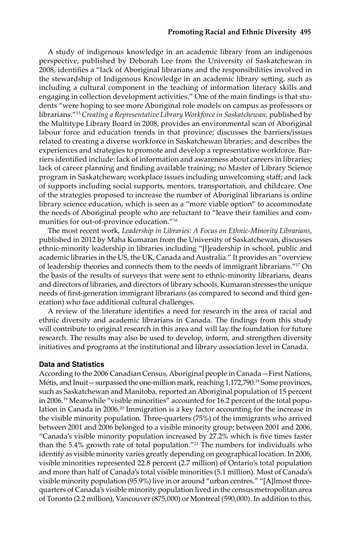#### **Promoting Racial and Ethnic Diversity 495**

A study of indigenous knowledge in an academic library from an indigenous perspective, published by Deborah Lee from the University of Saskatchewan in 2008, identifies a "lack of Aboriginal librarians and the responsibilities involved in the stewardship of Indigenous Knowledge in an academic library setting, such as including a cultural component in the teaching of information literacy skills and engaging in collection development activities." One of the main findings is that students "were hoping to see more Aboriginal role models on campus as professors or librarians."15 *Creating a Representative Library Workforce in Saskatchewan,* published by the Multitype Library Board in 2008, provides an environmental scan of Aboriginal labour force and education trends in that province; discusses the barriers/issues related to creating a diverse workforce in Saskatchewan libraries; and describes the experiences and strategies to promote and develop a representative workforce. Barriers identified include: lack of information and awareness about careers in libraries; lack of career planning and finding available training; no Master of Library Science program in Saskatchewan; workplace issues including unwelcoming staff; and lack of supports including social supports, mentors, transportation, and childcare. One of the strategies proposed to increase the number of Aboriginal librarians is online library science education, which is seen as a "more viable option" to accommodate the needs of Aboriginal people who are reluctant to "leave their families and communities for out-of-province education."<sup>16</sup>

The most recent work, *Leadership in Libraries: A Focus on Ethnic-Minority Librarians*, published in 2012 by Maha Kumaran from the University of Saskatchewan, discusses ethnic-minority leadership in libraries including "[l]eadership in school, public and academic libraries in the US, the UK, Canada and Australia." It provides an "overview of leadership theories and connects them to the needs of immigrant librarians."17 On the basis of the results of surveys that were sent to ethnic-minority librarians, deans and directors of libraries, and directors of library schools, Kumaran stresses the unique needs of first-generation immigrant librarians (as compared to second and third generation) who face additional cultural challenges.

A review of the literature identifies a need for research in the area of racial and ethnic diversity and academic librarians in Canada. The findings from this study will contribute to original research in this area and will lay the foundation for future research. The results may also be used to develop, inform, and strengthen diversity initiatives and programs at the institutional and library association level in Canada.

#### **Data and Statistics**

According to the 2006 Canadian Census, Aboriginal people in Canada—First Nations, Métis, and Inuit—surpassed the one-million mark, reaching 1,172,790.18 Some provinces, such as Saskatchewan and Manitoba, reported an Aboriginal population of 15 percent in 2006.19 Meanwhile "visible minorities" accounted for 16.2 percent of the total population in Canada in 2006.<sup>20</sup> Immigration is a key factor accounting for the increase in the visible minority population. Three-quarters (75%) of the immigrants who arrived between 2001 and 2006 belonged to a visible minority group; between 2001 and 2006, "Canada's visible minority population increased by 27.2% which is five times faster than the 5.4% growth rate of total population."<sup>21</sup> The numbers for individuals who identify as visible minority varies greatly depending on geographical location. In 2006, visible minorities represented 22.8 percent (2.7 million) of Ontario's total population and more than half of Canada's total visible minorities (5.1 million). Most of Canada's visible minority population (95.9%) live in or around "urban centres." "[A]lmost threequarters of Canada's visible minority population lived in the census metropolitan area of Toronto (2.2 million), Vancouver (875,000) or Montreal (590,000). In addition to this,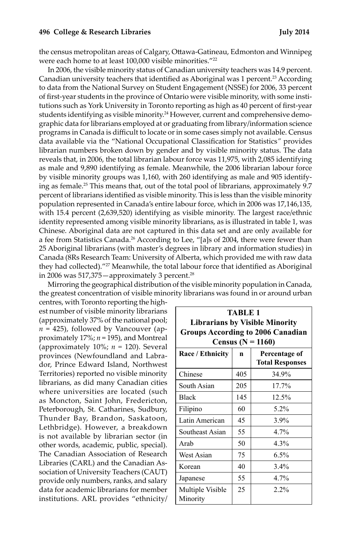#### **496 College & Research Libraries July 2014**

the census metropolitan areas of Calgary, Ottawa-Gatineau, Edmonton and Winnipeg were each home to at least 100,000 visible minorities."22

In 2006, the visible minority status of Canadian university teachers was 14.9 percent. Canadian university teachers that identified as Aboriginal was 1 percent.<sup>23</sup> According to data from the National Survey on Student Engagement (NSSE) for 2006, 33 percent of first-year students in the province of Ontario were visible minority, with some institutions such as York University in Toronto reporting as high as 40 percent of first-year students identifying as visible minority.24 However, current and comprehensive demographic data for librarians employed at or graduating from library/information science programs in Canada is difficult to locate or in some cases simply not available. Census data available via the "National Occupational Classification for Statistics*"* provides librarian numbers broken down by gender and by visible minority status. The data reveals that, in 2006, the total librarian labour force was 11,975, with 2,085 identifying as male and 9,890 identifying as female. Meanwhile, the 2006 librarian labour force by visible minority groups was 1,160, with 260 identifying as male and 905 identifying as female.<sup>25</sup> This means that, out of the total pool of librarians, approximately 9.7 percent of librarians identified as visible minority. This is less than the visible minority population represented in Canada's entire labour force, which in 2006 was 17,146,135, with 15.4 percent (2,639,520) identifying as visible minority. The largest race/ethnic identity represented among visible minority librarians, as is illustrated in table 1, was Chinese. Aboriginal data are not captured in this data set and are only available for a fee from Statistics Canada.<sup>26</sup> According to Lee, "[a]s of 2004, there were fewer than 25 Aboriginal librarians (with master's degrees in library and information studies) in Canada (8Rs Research Team: University of Alberta, which provided me with raw data they had collected)."<sup>27</sup> Meanwhile, the total labour force that identified as Aboriginal in 2006 was  $517,375$  - approximately 3 percent.<sup>28</sup>

Mirroring the geographical distribution of the visible minority population in Canada, the greatest concentration of visible minority librarians was found in or around urban

centres, with Toronto reporting the highest number of visible minority librarians (approximately 37% of the national pool;  $n = 425$ ), followed by Vancouver (approximately 17%; *n* = 195), and Montreal (approximately 10%; *n =* 120). Several provinces (Newfoundland and Labrador, Prince Edward Island, Northwest Territories) reported no visible minority librarians, as did many Canadian cities where universities are located (such as Moncton, Saint John, Fredericton, Peterborough, St. Catharines, Sudbury, Thunder Bay, Brandon, Saskatoon, Lethbridge). However, a breakdown is not available by librarian sector (in other words, academic, public, special). The Canadian Association of Research Libraries (CARL) and the Canadian Association of University Teachers (CAUT) provide only numbers, ranks, and salary data for academic librarians for member institutions. ARL provides "ethnicity/

| <b>TABLE 1</b><br><b>Librarians by Visible Minority</b><br><b>Groups According to 2006 Canadian</b><br><b>Census</b> ( $N = 1160$ ) |     |                                         |  |  |
|-------------------------------------------------------------------------------------------------------------------------------------|-----|-----------------------------------------|--|--|
| Race / Ethnicity                                                                                                                    | n   | Percentage of<br><b>Total Responses</b> |  |  |
| Chinese                                                                                                                             | 405 | 34.9%                                   |  |  |
| South Asian                                                                                                                         | 205 | 17.7%                                   |  |  |
| <b>Black</b>                                                                                                                        | 145 | 12.5%                                   |  |  |
| Filipino                                                                                                                            | 60  | 5.2%                                    |  |  |
| Latin American                                                                                                                      | 45  | 3.9%                                    |  |  |
| Southeast Asian                                                                                                                     | 55  | 4.7%                                    |  |  |
| Arab                                                                                                                                | 50  | 4.3%                                    |  |  |
| West Asian                                                                                                                          | 75  | 6.5%                                    |  |  |
| Korean                                                                                                                              | 40  | $3.4\%$                                 |  |  |
| Japanese                                                                                                                            | 55  | 4.7%                                    |  |  |
| Multiple Visible<br>Minority                                                                                                        | 25  | 2.2%                                    |  |  |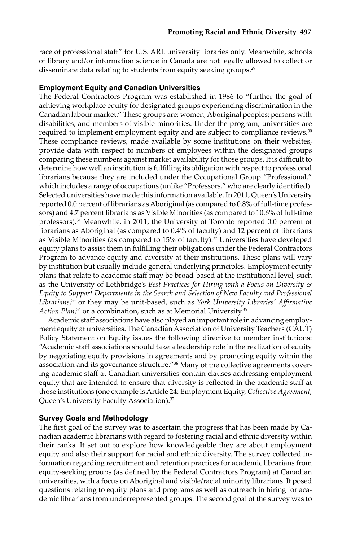race of professional staff" for U.S. ARL university libraries only. Meanwhile, schools of library and/or information science in Canada are not legally allowed to collect or disseminate data relating to students from equity seeking groups.<sup>29</sup>

# **Employment Equity and Canadian Universities**

The Federal Contractors Program was established in 1986 to "further the goal of achieving workplace equity for designated groups experiencing discrimination in the Canadian labour market." These groups are: women; Aboriginal peoples; persons with disabilities; and members of visible minorities. Under the program, universities are required to implement employment equity and are subject to compliance reviews.<sup>30</sup> These compliance reviews, made available by some institutions on their websites, provide data with respect to numbers of employees within the designated groups comparing these numbers against market availability for those groups. It is difficult to determine how well an institution is fulfilling its obligation with respect to professional librarians because they are included under the Occupational Group "Professional," which includes a range of occupations (unlike "Professors," who are clearly identified). Selected universities have made this information available. In 2011, Queen's University reported 0.0 percent of librarians as Aboriginal (as compared to 0.8% of full-time professors) and 4.7 percent librarians as Visible Minorities (as compared to 10.6% of full-time professors).<sup>31</sup> Meanwhile, in 2011, the University of Toronto reported 0.0 percent of librarians as Aboriginal (as compared to 0.4% of faculty) and 12 percent of librarians as Visible Minorities (as compared to 15% of faculty).32 Universities have developed equity plans to assist them in fulfilling their obligations under the Federal Contractors Program to advance equity and diversity at their institutions. These plans will vary by institution but usually include general underlying principles. Employment equity plans that relate to academic staff may be broad-based at the institutional level, such as the University of Lethbridge's *Best Practices for Hiring with a Focus on Diversity & Equity to Support Departments in the Search and Selection of New Faculty and Professional Librarians*, <sup>33</sup> or they may be unit-based, such as *York University Libraries' Affirmative Action Plan*, <sup>34</sup> or a combination, such as at Memorial University.35

Academic staff associations have also played an important role in advancing employment equity at universities. The Canadian Association of University Teachers (CAUT) Policy Statement on Equity issues the following directive to member institutions: "Academic staff associations should take a leadership role in the realization of equity by negotiating equity provisions in agreements and by promoting equity within the association and its governance structure."36 Many of the collective agreements covering academic staff at Canadian universities contain clauses addressing employment equity that are intended to ensure that diversity is reflected in the academic staff at those institutions (one example is Article 24: Employment Equity, *Collective Agreement,*  Queen's University Faculty Association).37

#### **Survey Goals and Methodology**

The first goal of the survey was to ascertain the progress that has been made by Canadian academic librarians with regard to fostering racial and ethnic diversity within their ranks. It set out to explore how knowledgeable they are about employment equity and also their support for racial and ethnic diversity. The survey collected information regarding recruitment and retention practices for academic librarians from equity-seeking groups (as defined by the Federal Contractors Program) at Canadian universities, with a focus on Aboriginal and visible/racial minority librarians. It posed questions relating to equity plans and programs as well as outreach in hiring for academic librarians from underrepresented groups. The second goal of the survey was to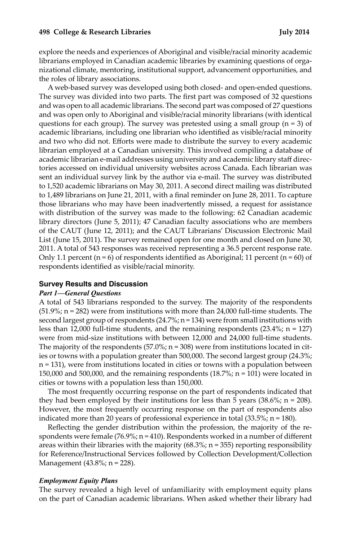explore the needs and experiences of Aboriginal and visible/racial minority academic librarians employed in Canadian academic libraries by examining questions of organizational climate, mentoring, institutional support, advancement opportunities, and the roles of library associations.

A web-based survey was developed using both closed- and open-ended questions. The survey was divided into two parts. The first part was composed of 32 questions and was open to all academic librarians. The second part was composed of 27 questions and was open only to Aboriginal and visible/racial minority librarians (with identical questions for each group). The survey was pretested using a small group ( $n = 3$ ) of academic librarians, including one librarian who identified as visible/racial minority and two who did not. Efforts were made to distribute the survey to every academic librarian employed at a Canadian university. This involved compiling a database of academic librarian e-mail addresses using university and academic library staff directories accessed on individual university websites across Canada. Each librarian was sent an individual survey link by the author via e-mail. The survey was distributed to 1,520 academic librarians on May 30, 2011. A second direct mailing was distributed to 1,489 librarians on June 21, 2011, with a final reminder on June 28, 2011. To capture those librarians who may have been inadvertently missed, a request for assistance with distribution of the survey was made to the following: 62 Canadian academic library directors (June 5, 2011); 47 Canadian faculty associations who are members of the CAUT (June 12, 2011); and the CAUT Librarians' Discussion Electronic Mail List (June 15, 2011). The survey remained open for one month and closed on June 30, 2011. A total of 543 responses was received representing a 36.5 percent response rate. Only 1.1 percent ( $n = 6$ ) of respondents identified as Aboriginal; 11 percent ( $n = 60$ ) of respondents identified as visible/racial minority.

#### **Survey Results and Discussion**

#### *Part 1—General Questions*

A total of 543 librarians responded to the survey. The majority of the respondents (51.9%; n = 282) were from institutions with more than 24,000 full-time students. The second largest group of respondents  $(24.7\%)$ ; n = 134) were from small institutions with less than 12,000 full-time students, and the remaining respondents (23.4%; n = 127) were from mid-size institutions with between 12,000 and 24,000 full-time students. The majority of the respondents  $(57.0\%; n = 308)$  were from institutions located in cities or towns with a population greater than 500,000. The second largest group (24.3%; n = 131), were from institutions located in cities or towns with a population between 150,000 and 500,000, and the remaining respondents (18.7%; n = 101) were located in cities or towns with a population less than 150,000.

The most frequently occurring response on the part of respondents indicated that they had been employed by their institutions for less than 5 years  $(38.6\%; \text{ n} = 208)$ . However, the most frequently occurring response on the part of respondents also indicated more than 20 years of professional experience in total (33.5%; n = 180).

Reflecting the gender distribution within the profession, the majority of the respondents were female (76.9%;  $n = 410$ ). Respondents worked in a number of different areas within their libraries with the majority  $(68.3\%; n = 355)$  reporting responsibility for Reference/Instructional Services followed by Collection Development/Collection Management (43.8%; n = 228).

#### *Employment Equity Plans*

The survey revealed a high level of unfamiliarity with employment equity plans on the part of Canadian academic librarians. When asked whether their library had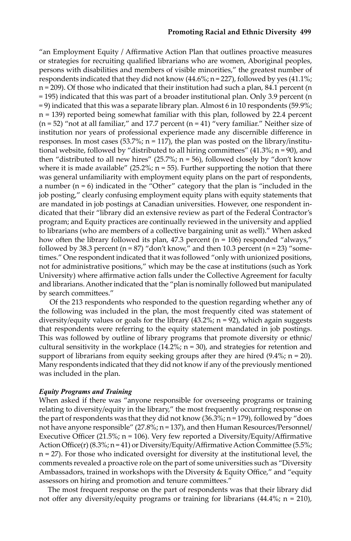"an Employment Equity / Affirmative Action Plan that outlines proactive measures or strategies for recruiting qualified librarians who are women, Aboriginal peoples, persons with disabilities and members of visible minorities," the greatest number of respondents indicated that they did not know  $(44.6\%; n = 227)$ , followed by yes  $(41.1\%;$  $n = 209$ ). Of those who indicated that their institution had such a plan, 84.1 percent (n = 195) indicated that this was part of a broader institutional plan. Only 3.9 percent (n = 9) indicated that this was a separate library plan. Almost 6 in 10 respondents (59.9%;  $n = 139$ ) reported being somewhat familiar with this plan, followed by 22.4 percent  $(n = 52)$  "not at all familiar," and 17.7 percent  $(n = 41)$  "very familiar." Neither size of institution nor years of professional experience made any discernible difference in responses. In most cases (53.7%;  $n = 117$ ), the plan was posted on the library/institutional website, followed by "distributed to all hiring committees" (41.3%; n = 90), and then "distributed to all new hires"  $(25.7\%)$ ; n = 56), followed closely by "don't know where it is made available" (25.2%;  $n = 55$ ). Further supporting the notion that there was general unfamiliarity with employment equity plans on the part of respondents, a number  $(n = 6)$  indicated in the "Other" category that the plan is "included in the job posting," clearly confusing employment equity plans with equity statements that are mandated in job postings at Canadian universities. However, one respondent indicated that their "library did an extensive review as part of the Federal Contractor's program; and Equity practices are continually reviewed in the university and applied to librarians (who are members of a collective bargaining unit as well)." When asked how often the library followed its plan, 47.3 percent ( $n = 106$ ) responded "always," followed by 38.3 percent ( $n = 87$ ) "don't know," and then 10.3 percent ( $n = 23$ ) "sometimes." One respondent indicated that it was followed "only with unionized positions, not for administrative positions," which may be the case at institutions (such as York University) where affirmative action falls under the Collective Agreement for faculty and librarians. Another indicated that the "plan is nominally followed but manipulated by search committees."

 Of the 213 respondents who responded to the question regarding whether any of the following was included in the plan, the most frequently cited was statement of diversity/equity values or goals for the library  $(43.2\%; n = 92)$ , which again suggests that respondents were referring to the equity statement mandated in job postings. This was followed by outline of library programs that promote diversity or ethnic/ cultural sensitivity in the workplace  $(14.2\%; n = 30)$ , and strategies for retention and support of librarians from equity seeking groups after they are hired  $(9.4\%; n = 20)$ . Many respondents indicated that they did not know if any of the previously mentioned was included in the plan.

## *Equity Programs and Training*

When asked if there was "anyone responsible for overseeing programs or training relating to diversity/equity in the library," the most frequently occurring response on the part of respondents was that they did not know (36.3%;  $n = 179$ ), followed by "does not have anyone responsible" (27.8%; n = 137), and then Human Resources/Personnel/ Executive Officer (21.5%;  $n = 106$ ). Very few reported a Diversity/Equity/Affirmative Action Office(r) (8.3%; n = 41) or Diversity/Equity/Affirmative Action Committee (5.5%; n = 27). For those who indicated oversight for diversity at the institutional level, the comments revealed a proactive role on the part of some universities such as "Diversity Ambassadors, trained in workshops with the Diversity & Equity Office," and "equity assessors on hiring and promotion and tenure committees."

The most frequent response on the part of respondents was that their library did not offer any diversity/equity programs or training for librarians  $(44.4\%; n = 210)$ ,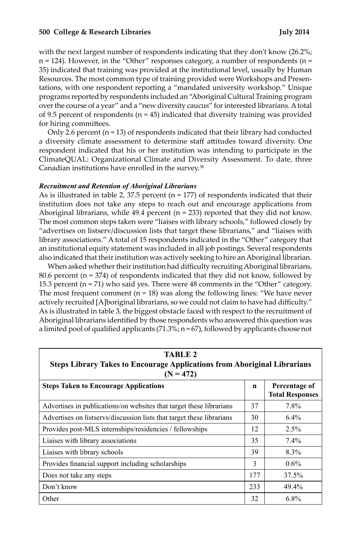#### **500 College & Research Libraries July 2014**

with the next largest number of respondents indicating that they don't know (26.2%;  $n = 124$ ). However, in the "Other" responses category, a number of respondents ( $n =$ 35) indicated that training was provided at the institutional level, usually by Human Resources. The most common type of training provided were Workshops and Presentations, with one respondent reporting a "mandated university workshop." Unique programs reported by respondents included an "Aboriginal Cultural Training program over the course of a year" and a "new diversity caucus" for interested librarians. A total of 9.5 percent of respondents ( $n = 45$ ) indicated that diversity training was provided for hiring committees.

Only 2.6 percent  $(n = 13)$  of respondents indicated that their library had conducted a diversity climate assessment to determine staff attitudes toward diversity. One respondent indicated that his or her institution was intending to participate in the ClimateQUAL: Organizational Climate and Diversity Assessment. To date, three Canadian institutions have enrolled in the survey.<sup>38</sup>

### *Recruitment and Retention of Aboriginal Librarians*

As is illustrated in table 2, 37.5 percent ( $n = 177$ ) of respondents indicated that their institution does not take any steps to reach out and encourage applications from Aboriginal librarians, while  $49.4$  percent ( $n = 233$ ) reported that they did not know. The most common steps taken were "liaises with library schools," followed closely by "advertises on listserv/discussion lists that target these librarians," and "liaises with library associations." A total of 15 respondents indicated in the "Other" category that an institutional equity statement was included in all job postings. Several respondents also indicated that their institution was actively seeking to hire an Aboriginal librarian.

When asked whether their institution had difficulty recruiting Aboriginal librarians, 80.6 percent ( $n = 374$ ) of respondents indicated that they did not know, followed by 15.3 percent ( $n = 71$ ) who said yes. There were 48 comments in the "Other" category. The most frequent comment  $(n = 18)$  was along the following lines: "We have never actively recruited [A]boriginal librarians, so we could not claim to have had difficulty." As is illustrated in table 3, the biggest obstacle faced with respect to the recruitment of Aboriginal librarians identified by those respondents who answered this question was a limited pool of qualified applicants  $(71.3\%; n = 67)$ , followed by applicants choose not

| TABLE 2<br><b>Steps Library Takes to Encourage Applications from Aboriginal Librarians</b><br>$(N = 472)$ |             |                                         |  |  |
|-----------------------------------------------------------------------------------------------------------|-------------|-----------------------------------------|--|--|
| <b>Steps Taken to Encourage Applications</b>                                                              | $\mathbf n$ | Percentage of<br><b>Total Responses</b> |  |  |
| Advertises in publications/on websites that target these librarians                                       | 37          | 7.8%                                    |  |  |
| Advertises on listservs/discussion lists that target these librarians                                     | 30          | $6.4\%$                                 |  |  |
| Provides post-MLS internships/residencies / fellowships                                                   | 12          | 2.5%                                    |  |  |
| Liaises with library associations                                                                         | 35          | 7.4%                                    |  |  |
| Liaises with library schools                                                                              | 39          | 8.3%                                    |  |  |
| Provides financial support including scholarships                                                         | 3           | $0.6\%$                                 |  |  |
| Does not take any steps                                                                                   | 177         | 37.5%                                   |  |  |
| Don't know                                                                                                | 233         | 49.4%                                   |  |  |
| Other                                                                                                     | 32          | 6.8%                                    |  |  |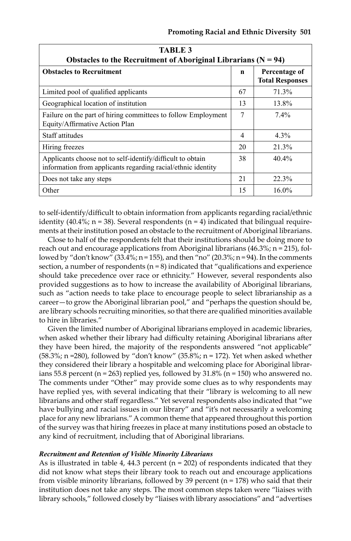| <b>TABLE 3</b><br>Obstacles to the Recruitment of Aboriginal Librarians ( $N = 94$ )                                       |                |                                         |  |  |
|----------------------------------------------------------------------------------------------------------------------------|----------------|-----------------------------------------|--|--|
| <b>Obstacles to Recruitment</b>                                                                                            | n              | Percentage of<br><b>Total Responses</b> |  |  |
| Limited pool of qualified applicants                                                                                       | 67             | 71.3%                                   |  |  |
| Geographical location of institution                                                                                       | 13             | 13.8%                                   |  |  |
| Failure on the part of hiring committees to follow Employment<br>Equity/Affirmative Action Plan                            | 7              | 7.4%                                    |  |  |
| Staff attitudes                                                                                                            | $\overline{4}$ | 4.3%                                    |  |  |
| Hiring freezes                                                                                                             | 20             | 21.3%                                   |  |  |
| Applicants choose not to self-identify/difficult to obtain<br>information from applicants regarding racial/ethnic identity | 38             | 40.4%                                   |  |  |
| Does not take any steps                                                                                                    | 21             | 22.3%                                   |  |  |
| Other                                                                                                                      | 15             | 16.0%                                   |  |  |

to self-identify/difficult to obtain information from applicants regarding racial/ethnic identity (40.4%;  $n = 38$ ). Several respondents ( $n = 4$ ) indicated that bilingual requirements at their institution posed an obstacle to the recruitment of Aboriginal librarians.

Close to half of the respondents felt that their institutions should be doing more to reach out and encourage applications from Aboriginal librarians  $(46.3\%; n = 215)$ , followed by "don't know"  $(33.4\frac{9}{10})$ ; n = 155), and then "no"  $(20.3\frac{9}{10})$ ; n = 94). In the comments section, a number of respondents  $(n = 8)$  indicated that "qualifications and experience should take precedence over race or ethnicity." However, several respondents also provided suggestions as to how to increase the availability of Aboriginal librarians, such as "action needs to take place to encourage people to select librarianship as a career—to grow the Aboriginal librarian pool," and "perhaps the question should be, are library schools recruiting minorities, so that there are qualified minorities available to hire in libraries."

Given the limited number of Aboriginal librarians employed in academic libraries, when asked whether their library had difficulty retaining Aboriginal librarians after they have been hired, the majority of the respondents answered "not applicable" (58.3%; n =280), followed by "don't know" (35.8%; n = 172). Yet when asked whether they considered their library a hospitable and welcoming place for Aboriginal librarians 55.8 percent ( $n = 263$ ) replied yes, followed by 31.8% ( $n = 150$ ) who answered no. The comments under "Other" may provide some clues as to why respondents may have replied yes, with several indicating that their "library is welcoming to all new librarians and other staff regardless." Yet several respondents also indicated that "we have bullying and racial issues in our library" and "it's not necessarily a welcoming place for any new librarians." A common theme that appeared throughout this portion of the survey was that hiring freezes in place at many institutions posed an obstacle to any kind of recruitment, including that of Aboriginal librarians.

# *Recruitment and Retention of Visible Minority Librarians*

As is illustrated in table 4, 44.3 percent ( $n = 202$ ) of respondents indicated that they did not know what steps their library took to reach out and encourage applications from visible minority librarians, followed by 39 percent ( $n = 178$ ) who said that their institution does not take any steps. The most common steps taken were "liaises with library schools," followed closely by "liaises with library associations" and "advertises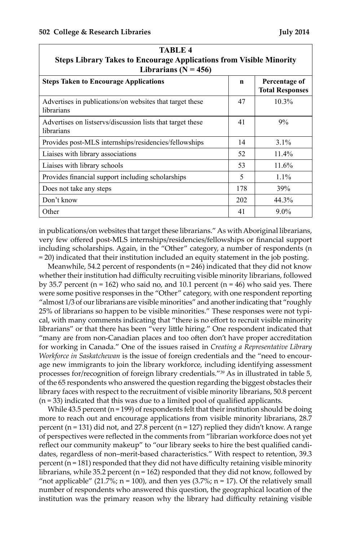| TABLE 4<br><b>Steps Library Takes to Encourage Applications from Visible Minority</b><br>Librarians ( $N = 456$ ) |             |                                         |  |  |
|-------------------------------------------------------------------------------------------------------------------|-------------|-----------------------------------------|--|--|
| <b>Steps Taken to Encourage Applications</b>                                                                      | $\mathbf n$ | Percentage of<br><b>Total Responses</b> |  |  |
| Advertises in publications/on websites that target these<br>librarians                                            | 47          | $10.3\%$                                |  |  |
| Advertises on listservs/discussion lists that target these<br>librarians                                          | 41          | 9%                                      |  |  |
| Provides post-MLS internships/residencies/fellowships                                                             | 14          | $3.1\%$                                 |  |  |
| Liaises with library associations                                                                                 | 52          | $11.4\%$                                |  |  |
| Liaises with library schools                                                                                      | 53          | 11.6%                                   |  |  |
| Provides financial support including scholarships                                                                 | 5           | $1.1\%$                                 |  |  |
| Does not take any steps                                                                                           | 178         | 39%                                     |  |  |
| Don't know                                                                                                        | 202         | 44.3%                                   |  |  |
| Other                                                                                                             | 41          | $9.0\%$                                 |  |  |

in publications/on websites that target these librarians." As with Aboriginal librarians, very few offered post-MLS internships/residencies/fellowships or financial support including scholarships. Again, in the "Other" category, a number of respondents (n = 20) indicated that their institution included an equity statement in the job posting.

Meanwhile, 54.2 percent of respondents (n = 246) indicated that they did not know whether their institution had difficulty recruiting visible minority librarians, followed by 35.7 percent ( $n = 162$ ) who said no, and 10.1 percent ( $n = 46$ ) who said yes. There were some positive responses in the "Other" category, with one respondent reporting "almost 1/3 of our librarians are visible minorities" and another indicating that "roughly 25% of librarians so happen to be visible minorities." These responses were not typical, with many comments indicating that "there is no effort to recruit visible minority librarians" or that there has been "very little hiring." One respondent indicated that "many are from non-Canadian places and too often don't have proper accreditation for working in Canada." One of the issues raised in *Creating a Representative Library Workforce in Saskatchewan* is the issue of foreign credentials and the "need to encourage new immigrants to join the library workforce, including identifying assessment processes for/recognition of foreign library credentials."39 As in illustrated in table 5, of the 65 respondents who answered the question regarding the biggest obstacles their library faces with respect to the recruitment of visible minority librarians, 50.8 percent (n = 33) indicated that this was due to a limited pool of qualified applicants.

While  $43.5$  percent ( $n = 199$ ) of respondents felt that their institution should be doing more to reach out and encourage applications from visible minority librarians, 28.7 percent (n = 131) did not, and 27.8 percent (n = 127) replied they didn't know. A range of perspectives were reflected in the comments from "librarian workforce does not yet reflect our community makeup" to "our library seeks to hire the best qualified candidates, regardless of non–merit-based characteristics." With respect to retention, 39.3 percent  $(n = 181)$  responded that they did not have difficulty retaining visible minority librarians, while 35.2 percent ( $n = 162$ ) responded that they did not know, followed by "not applicable" (21.7%;  $n = 100$ ), and then yes (3.7%;  $n = 17$ ). Of the relatively small number of respondents who answered this question, the geographical location of the institution was the primary reason why the library had difficulty retaining visible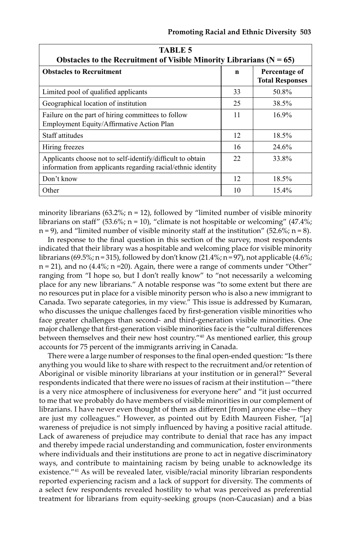| <b>TABLE 5</b>                                                                                                             |     |                                         |  |  |
|----------------------------------------------------------------------------------------------------------------------------|-----|-----------------------------------------|--|--|
| Obstacles to the Recruitment of Visible Minority Librarians ( $N = 65$ )                                                   |     |                                         |  |  |
| <b>Obstacles to Recruitment</b>                                                                                            | n   | Percentage of<br><b>Total Responses</b> |  |  |
| Limited pool of qualified applicants                                                                                       | 33  | 50.8%                                   |  |  |
| Geographical location of institution                                                                                       | 25  | 38.5%                                   |  |  |
| Failure on the part of hiring committees to follow<br>Employment Equity/Affirmative Action Plan                            | 11  | $16.9\%$                                |  |  |
| Staff attitudes                                                                                                            | 12  | 18.5%                                   |  |  |
| Hiring freezes                                                                                                             | 16  | 24.6%                                   |  |  |
| Applicants choose not to self-identify/difficult to obtain<br>information from applicants regarding racial/ethnic identity | 22. | 33.8%                                   |  |  |
| Don't know                                                                                                                 | 12  | 18.5%                                   |  |  |
| Other                                                                                                                      | 10  | 15.4%                                   |  |  |

minority librarians (63.2%;  $n = 12$ ), followed by "limited number of visible minority librarians on staff" (53.6%;  $n = 10$ ), "climate is not hospitable or welcoming" (47.4%;  $n = 9$ , and "limited number of visible minority staff at the institution" (52.6%;  $n = 8$ ).

In response to the final question in this section of the survey, most respondents indicated that their library was a hospitable and welcoming place for visible minority librarians (69.5%; n = 315), followed by don't know (21.4%; n = 97), not applicable (4.6%; n = 21), and no (4.4%; n =20). Again, there were a range of comments under "Other" ranging from "I hope so, but I don't really know" to "not necessarily a welcoming place for any new librarians." A notable response was "to some extent but there are no resources put in place for a visible minority person who is also a new immigrant to Canada. Two separate categories, in my view." This issue is addressed by Kumaran, who discusses the unique challenges faced by first-generation visible minorities who face greater challenges than second- and third-generation visible minorities. One major challenge that first-generation visible minorities face is the "cultural differences between themselves and their new host country."40 As mentioned earlier, this group accounts for 75 percent of the immigrants arriving in Canada.

There were a large number of responses to the final open-ended question: "Is there anything you would like to share with respect to the recruitment and/or retention of Aboriginal or visible minority librarians at your institution or in general?" Several respondents indicated that there were no issues of racism at their institution—"there is a very nice atmosphere of inclusiveness for everyone here" and "it just occurred to me that we probably do have members of visible minorities in our complement of librarians. I have never even thought of them as different [from] anyone else—they are just my colleagues." However, as pointed out by Edith Maureen Fisher, "[a] wareness of prejudice is not simply influenced by having a positive racial attitude. Lack of awareness of prejudice may contribute to denial that race has any impact and thereby impede racial understanding and communication, foster environments where individuals and their institutions are prone to act in negative discriminatory ways, and contribute to maintaining racism by being unable to acknowledge its existence."41 As will be revealed later, visible/racial minority librarian respondents reported experiencing racism and a lack of support for diversity. The comments of a select few respondents revealed hostility to what was perceived as preferential treatment for librarians from equity-seeking groups (non-Caucasian) and a bias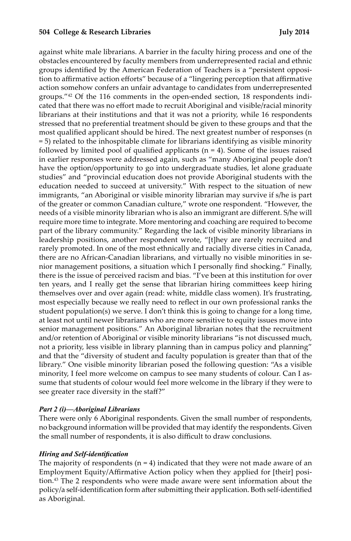against white male librarians. A barrier in the faculty hiring process and one of the obstacles encountered by faculty members from underrepresented racial and ethnic groups identified by the American Federation of Teachers is a "persistent opposition to affirmative action efforts" because of a "lingering perception that affirmative action somehow confers an unfair advantage to candidates from underrepresented groups."42 Of the 116 comments in the open-ended section, 18 respondents indicated that there was no effort made to recruit Aboriginal and visible/racial minority librarians at their institutions and that it was not a priority, while 16 respondents stressed that no preferential treatment should be given to these groups and that the most qualified applicant should be hired. The next greatest number of responses (n = 5) related to the inhospitable climate for librarians identifying as visible minority followed by limited pool of qualified applicants  $(n = 4)$ . Some of the issues raised in earlier responses were addressed again, such as "many Aboriginal people don't have the option/opportunity to go into undergraduate studies, let alone graduate studies" and "provincial education does not provide Aboriginal students with the education needed to succeed at university." With respect to the situation of new immigrants, "an Aboriginal or visible minority librarian may survive if s/he is part of the greater or common Canadian culture," wrote one respondent. "However, the needs of a visible minority librarian who is also an immigrant are different. S/he will require more time to integrate. More mentoring and coaching are required to become part of the library community." Regarding the lack of visible minority librarians in leadership positions, another respondent wrote, "[t]hey are rarely recruited and rarely promoted. In one of the most ethnically and racially diverse cities in Canada, there are no African-Canadian librarians, and virtually no visible minorities in senior management positions, a situation which I personally find shocking." Finally, there is the issue of perceived racism and bias. "I've been at this institution for over ten years, and I really get the sense that librarian hiring committees keep hiring themselves over and over again (read: white, middle class women). It's frustrating, most especially because we really need to reflect in our own professional ranks the student population(s) we serve. I don't think this is going to change for a long time, at least not until newer librarians who are more sensitive to equity issues move into senior management positions." An Aboriginal librarian notes that the recruitment and/or retention of Aboriginal or visible minority librarians "is not discussed much, not a priority, less visible in library planning than in campus policy and planning" and that the "diversity of student and faculty population is greater than that of the library." One visible minority librarian posed the following question: "As a visible minority, I feel more welcome on campus to see many students of colour. Can I assume that students of colour would feel more welcome in the library if they were to see greater race diversity in the staff?"

# *Part 2 (i)—Aboriginal Librarians*

There were only 6 Aboriginal respondents. Given the small number of respondents, no background information will be provided that may identify the respondents. Given the small number of respondents, it is also difficult to draw conclusions.

# *Hiring and Self-identification*

The majority of respondents ( $n = 4$ ) indicated that they were not made aware of an Employment Equity/Affirmative Action policy when they applied for [their] position.43 The 2 respondents who were made aware were sent information about the policy/a self-identification form after submitting their application. Both self-identified as Aboriginal.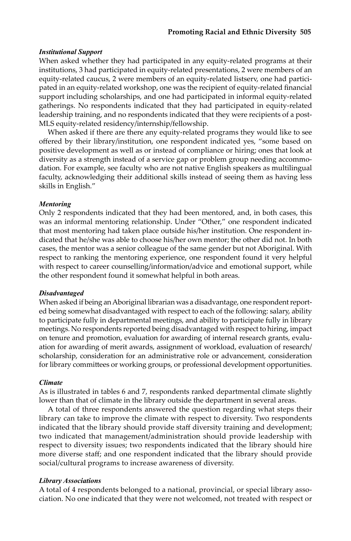# *Institutional Support*

When asked whether they had participated in any equity-related programs at their institutions, 3 had participated in equity-related presentations, 2 were members of an equity-related caucus, 2 were members of an equity-related listserv, one had participated in an equity-related workshop, one was the recipient of equity-related financial support including scholarships, and one had participated in informal equity-related gatherings. No respondents indicated that they had participated in equity-related leadership training, and no respondents indicated that they were recipients of a post-MLS equity-related residency/internship/fellowship.

When asked if there are there any equity-related programs they would like to see offered by their library/institution, one respondent indicated yes, "some based on positive development as well as or instead of compliance or hiring; ones that look at diversity as a strength instead of a service gap or problem group needing accommodation. For example, see faculty who are not native English speakers as multilingual faculty, acknowledging their additional skills instead of seeing them as having less skills in English."

### *Mentoring*

Only 2 respondents indicated that they had been mentored, and, in both cases, this was an informal mentoring relationship. Under "Other," one respondent indicated that most mentoring had taken place outside his/her institution. One respondent indicated that he/she was able to choose his/her own mentor; the other did not. In both cases, the mentor was a senior colleague of the same gender but not Aboriginal. With respect to ranking the mentoring experience, one respondent found it very helpful with respect to career counselling/information/advice and emotional support, while the other respondent found it somewhat helpful in both areas.

#### *Disadvantaged*

When asked if being an Aboriginal librarian was a disadvantage, one respondent reported being somewhat disadvantaged with respect to each of the following: salary, ability to participate fully in departmental meetings, and ability to participate fully in library meetings. No respondents reported being disadvantaged with respect to hiring, impact on tenure and promotion, evaluation for awarding of internal research grants, evaluation for awarding of merit awards, assignment of workload, evaluation of research/ scholarship, consideration for an administrative role or advancement, consideration for library committees or working groups, or professional development opportunities.

# *Climate*

As is illustrated in tables 6 and 7, respondents ranked departmental climate slightly lower than that of climate in the library outside the department in several areas.

A total of three respondents answered the question regarding what steps their library can take to improve the climate with respect to diversity. Two respondents indicated that the library should provide staff diversity training and development; two indicated that management/administration should provide leadership with respect to diversity issues; two respondents indicated that the library should hire more diverse staff; and one respondent indicated that the library should provide social/cultural programs to increase awareness of diversity.

#### *Library Associations*

A total of 4 respondents belonged to a national, provincial, or special library association. No one indicated that they were not welcomed, not treated with respect or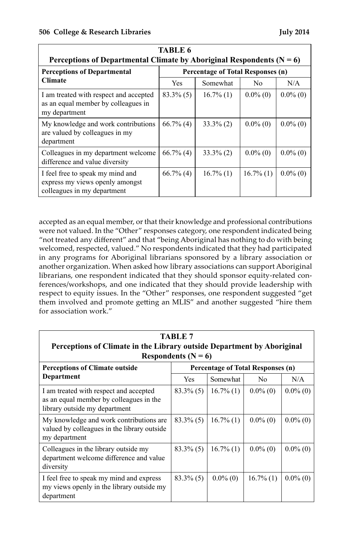| <b>TABLE 6</b>                                                                                     |                                          |              |                |             |
|----------------------------------------------------------------------------------------------------|------------------------------------------|--------------|----------------|-------------|
| Perceptions of Departmental Climate by Aboriginal Respondents ( $N = 6$ )                          |                                          |              |                |             |
| <b>Perceptions of Departmental</b>                                                                 | <b>Percentage of Total Responses (n)</b> |              |                |             |
| <b>Climate</b>                                                                                     | <b>Yes</b>                               | Somewhat     | N <sub>0</sub> | N/A         |
| I am treated with respect and accepted<br>as an equal member by colleagues in<br>my department     | $83.3\%$ (5)                             | $16.7\%$ (1) | $0.0\%$ (0)    | $0.0\%$ (0) |
| My knowledge and work contributions<br>are valued by colleagues in my<br>department                | $66.7\%$ (4)                             | $33.3\%$ (2) | $0.0\%$ (0)    | $0.0\%$ (0) |
| Colleagues in my department welcome<br>difference and value diversity                              | $66.7\%$ (4)                             | $33.3\%$ (2) | $0.0\%$ (0)    | $0.0\%$ (0) |
| I feel free to speak my mind and<br>express my views openly amongst<br>colleagues in my department | $66.7\%$ (4)                             | $16.7\%$ (1) | $16.7\%$ (1)   | $0.0\%$ (0) |

accepted as an equal member, or that their knowledge and professional contributions were not valued. In the "Other" responses category, one respondent indicated being "not treated any different" and that "being Aboriginal has nothing to do with being welcomed, respected, valued." No respondents indicated that they had participated in any programs for Aboriginal librarians sponsored by a library association or another organization. When asked how library associations can support Aboriginal librarians, one respondent indicated that they should sponsor equity-related conferences/workshops, and one indicated that they should provide leadership with respect to equity issues. In the "Other" responses, one respondent suggested "get them involved and promote getting an MLIS" and another suggested "hire them for association work."

| TABLE 7<br>Perceptions of Climate in the Library outside Department by Aboriginal<br>Respondents ( $N = 6$ )       |              |              |                                          |             |
|--------------------------------------------------------------------------------------------------------------------|--------------|--------------|------------------------------------------|-------------|
| <b>Perceptions of Climate outside</b>                                                                              |              |              | <b>Percentage of Total Responses (n)</b> |             |
| Department                                                                                                         | Yes          | Somewhat     | N <sub>0</sub>                           | N/A         |
| I am treated with respect and accepted<br>as an equal member by colleagues in the<br>library outside my department | $83.3\%$ (5) | $16.7\%$ (1) | $0.0\%$ (0)                              | $0.0\%$ (0) |
| My knowledge and work contributions are.<br>valued by colleagues in the library outside<br>my department           | $83.3\%$ (5) | $16.7\%$ (1) | $0.0\%$ (0)                              | $0.0\%$ (0) |
| Colleagues in the library outside my<br>department welcome difference and value<br>diversity                       | $83.3\%$ (5) | $16.7\%$ (1) | $0.0\%$ (0)                              | $0.0\%$ (0) |
| I feel free to speak my mind and express<br>my views openly in the library outside my<br>department                | $83.3\%$ (5) | $0.0\%$ (0)  | $16.7\%$ (1)                             | $0.0\%$ (0) |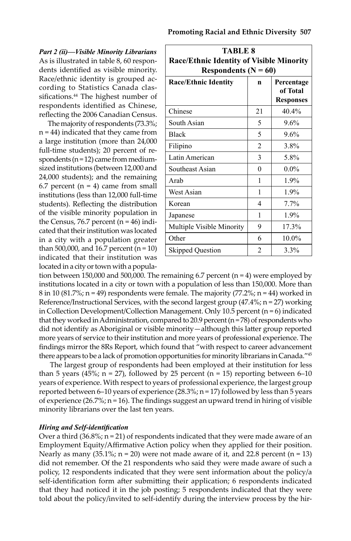*Part 2 (ii)—Visible Minority Librarians* As is illustrated in table 8, 60 respondents identified as visible minority. Race/ethnic identity is grouped according to Statistics Canada classifications.<sup>44</sup> The highest number of respondents identified as Chinese, reflecting the 2006 Canadian Census.

The majority of respondents (73.3%; n = 44) indicated that they came from a large institution (more than 24,000 full-time students); 20 percent of respondents ( $n = 12$ ) came from mediumsized institutions (between 12,000 and 24,000 students); and the remaining 6.7 percent ( $n = 4$ ) came from small institutions (less than 12,000 full-time students). Reflecting the distribution of the visible minority population in the Census, 76.7 percent  $(n = 46)$  indicated that their institution was located in a city with a population greater than 500,000, and 16.7 percent ( $n = 10$ ) indicated that their institution was located in a city or town with a popula-

| TABLE 8<br><b>Race/Ethnic Identity of Visible Minority</b><br>Respondents ( $N = 60$ ) |                |         |  |  |  |
|----------------------------------------------------------------------------------------|----------------|---------|--|--|--|
| <b>Race/Ethnic Identity</b><br>Percentage<br>n<br>of Total<br><b>Responses</b>         |                |         |  |  |  |
| Chinese                                                                                | 21             | 40.4%   |  |  |  |
| South Asian                                                                            | 5              | 9.6%    |  |  |  |
| <b>Black</b>                                                                           | 5              | 9.6%    |  |  |  |
| Filipino                                                                               | $\mathfrak{D}$ | 3.8%    |  |  |  |
| Latin American                                                                         | 3              | 5.8%    |  |  |  |
| Southeast Asian                                                                        | 0              | $0.0\%$ |  |  |  |
| Arah                                                                                   | 1              | 1.9%    |  |  |  |
| West Asian                                                                             | 1              | 1.9%    |  |  |  |
| Korean                                                                                 | 4              | 7.7%    |  |  |  |
| Japanese                                                                               | 1              | 1.9%    |  |  |  |
| Multiple Visible Minority                                                              | 9              | 17.3%   |  |  |  |
| Other                                                                                  | 6              | 10.0%   |  |  |  |
| <b>Skipped Question</b>                                                                | $\overline{2}$ | 3.3%    |  |  |  |

tion between 150,000 and 500,000. The remaining 6.7 percent (n = 4) were employed by institutions located in a city or town with a population of less than 150,000. More than 8 in 10 (81.7%;  $n = 49$ ) respondents were female. The majority (77.2%;  $n = 44$ ) worked in Reference/Instructional Services, with the second largest group (47.4%; n = 27) working in Collection Development/Collection Management. Only 10.5 percent ( $n = 6$ ) indicated that they worked in Administration, compared to 20.9 percent  $(n = 78)$  of respondents who did not identify as Aboriginal or visible minority—although this latter group reported more years of service to their institution and more years of professional experience. The findings mirror the 8Rs Report, which found that "with respect to career advancement there appears to be a lack of promotion opportunities for minority librarians in Canada."<sup>45</sup>

 The largest group of respondents had been employed at their institution for less than 5 years (45%;  $n = 27$ ), followed by 25 percent ( $n = 15$ ) reporting between 6–10 years of experience. With respect to years of professional experience, the largest group reported between 6–10 years of experience (28.3%;  $n = 17$ ) followed by less than 5 years of experience  $(26.7\%; n = 16)$ . The findings suggest an upward trend in hiring of visible minority librarians over the last ten years.

# *Hiring and Self-identification*

Over a third  $(36.8\%; n = 21)$  of respondents indicated that they were made aware of an Employment Equity/Affirmative Action policy when they applied for their position. Nearly as many  $(35.1\%; n = 20)$  were not made aware of it, and 22.8 percent  $(n = 13)$ did not remember. Of the 21 respondents who said they were made aware of such a policy, 12 respondents indicated that they were sent information about the policy/a self-identification form after submitting their application; 6 respondents indicated that they had noticed it in the job posting; 5 respondents indicated that they were told about the policy/invited to self-identify during the interview process by the hir-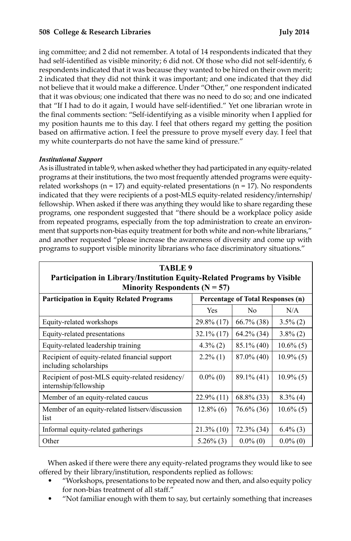# **508 College & Research Libraries July 2014**

ing committee; and 2 did not remember. A total of 14 respondents indicated that they had self-identified as visible minority; 6 did not. Of those who did not self-identify, 6 respondents indicated that it was because they wanted to be hired on their own merit; 2 indicated that they did not think it was important; and one indicated that they did not believe that it would make a difference. Under "Other," one respondent indicated that it was obvious; one indicated that there was no need to do so; and one indicated that "If I had to do it again, I would have self-identified." Yet one librarian wrote in the final comments section: "Self-identifying as a visible minority when I applied for my position haunts me to this day. I feel that others regard my getting the position based on affirmative action. I feel the pressure to prove myself every day. I feel that my white counterparts do not have the same kind of pressure."

# *Institutional Support*

As is illustrated in table 9, when asked whether they had participated in any equity-related programs at their institutions, the two most frequently attended programs were equityrelated workshops ( $n = 17$ ) and equity-related presentations ( $n = 17$ ). No respondents indicated that they were recipients of a post-MLS equity-related residency/internship/ fellowship. When asked if there was anything they would like to share regarding these programs, one respondent suggested that "there should be a workplace policy aside from repeated programs, especially from the top administration to create an environment that supports non-bias equity treatment for both white and non-white librarians," and another requested "please increase the awareness of diversity and come up with programs to support visible minority librarians who face discriminatory situations."

**TABLE 9**

| Participation in Library/Institution Equity-Related Programs by Visible              |               |                |              |  |
|--------------------------------------------------------------------------------------|---------------|----------------|--------------|--|
| Minority Respondents ( $N = 57$ )                                                    |               |                |              |  |
| <b>Participation in Equity Related Programs</b><br>Percentage of Total Responses (n) |               |                |              |  |
|                                                                                      | <b>Yes</b>    | N <sub>0</sub> | N/A          |  |
| Equity-related workshops                                                             | 29.8% (17)    | $66.7\%$ (38)  | $3.5\%$ (2)  |  |
| Equity-related presentations                                                         | $32.1\%$ (17) | $64.2\%$ (34)  | $3.8\%$ (2)  |  |
| Equity-related leadership training                                                   | $4.3\%$ (2)   | $85.1\%$ (40)  | $10.6\%$ (5) |  |
| Recipient of equity-related financial support<br>including scholarships              | $2.2\%$ (1)   | $87.0\%$ (40)  | $10.9\%$ (5) |  |
| Recipient of post-MLS equity-related residency/<br>internship/fellowship             | $0.0\%$ (0)   | $89.1\%$ (41)  | $10.9\%$ (5) |  |
| Member of an equity-related caucus                                                   | $22.9\%$ (11) | $68.8\%$ (33)  | $8.3\%$ (4)  |  |
| Member of an equity-related listserv/discussion<br>list                              | $12.8\%$ (6)  | 76.6% (36)     | $10.6\%$ (5) |  |
| Informal equity-related gatherings                                                   | $21.3\%$ (10) | $72.3\%$ (34)  | $6.4\%$ (3)  |  |
| Other                                                                                | $5.26\%$ (3)  | $0.0\%$ (0)    | $0.0\%$ (0)  |  |

When asked if there were there any equity-related programs they would like to see offered by their library/institution, respondents replied as follows:

- "Workshops, presentations to be repeated now and then, and also equity policy for non-bias treatment of all staff."
- "Not familiar enough with them to say, but certainly something that increases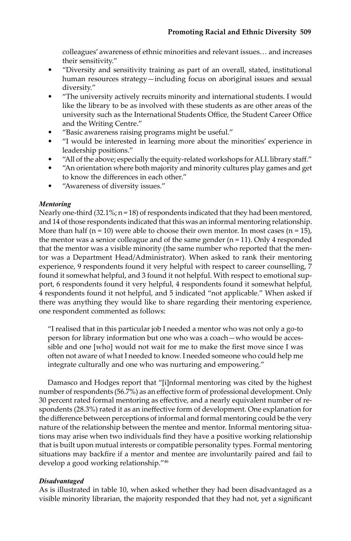colleagues' awareness of ethnic minorities and relevant issues… and increases their sensitivity."

- "Diversity and sensitivity training as part of an overall, stated, institutional human resources strategy—including focus on aboriginal issues and sexual diversity."
- "The university actively recruits minority and international students. I would like the library to be as involved with these students as are other areas of the university such as the International Students Office, the Student Career Office and the Writing Centre."
- "Basic awareness raising programs might be useful."
- "I would be interested in learning more about the minorities' experience in leadership positions."
- "All of the above; especially the equity-related workshops for ALL library staff."
- "An orientation where both majority and minority cultures play games and get to know the differences in each other."
- "Awareness of diversity issues."

# *Mentoring*

Nearly one-third  $(32.1\%; n = 18)$  of respondents indicated that they had been mentored, and 14 of those respondents indicated that this was an informal mentoring relationship. More than half ( $n = 10$ ) were able to choose their own mentor. In most cases ( $n = 15$ ), the mentor was a senior colleague and of the same gender (n = 11). Only 4 responded that the mentor was a visible minority (the same number who reported that the mentor was a Department Head/Administrator). When asked to rank their mentoring experience, 9 respondents found it very helpful with respect to career counselling, 7 found it somewhat helpful, and 3 found it not helpful. With respect to emotional support, 6 respondents found it very helpful, 4 respondents found it somewhat helpful, 4 respondents found it not helpful, and 5 indicated "not applicable." When asked if there was anything they would like to share regarding their mentoring experience, one respondent commented as follows:

"I realised that in this particular job I needed a mentor who was not only a go-to person for library information but one who was a coach—who would be accessible and one [who] would not wait for me to make the first move since I was often not aware of what I needed to know. I needed someone who could help me integrate culturally and one who was nurturing and empowering."

Damasco and Hodges report that "[i]nformal mentoring was cited by the highest number of respondents (56.7%) as an effective form of professional development. Only 30 percent rated formal mentoring as effective, and a nearly equivalent number of respondents (28.3%) rated it as an ineffective form of development. One explanation for the difference between perceptions of informal and formal mentoring could be the very nature of the relationship between the mentee and mentor. Informal mentoring situations may arise when two individuals find they have a positive working relationship that is built upon mutual interests or compatible personality types. Formal mentoring situations may backfire if a mentor and mentee are involuntarily paired and fail to develop a good working relationship."46

# *Disadvantaged*

As is illustrated in table 10, when asked whether they had been disadvantaged as a visible minority librarian, the majority responded that they had not, yet a significant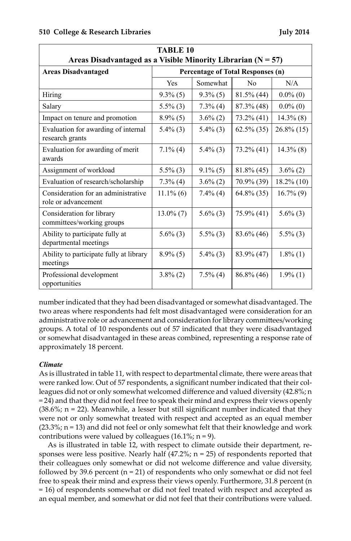| TABLE 10                                                       |                                   |             |                |               |  |
|----------------------------------------------------------------|-----------------------------------|-------------|----------------|---------------|--|
| Areas Disadvantaged as a Visible Minority Librarian $(N = 57)$ |                                   |             |                |               |  |
| <b>Areas Disadvantaged</b>                                     | Percentage of Total Responses (n) |             |                |               |  |
|                                                                | Yes                               | Somewhat    | N <sub>0</sub> | N/A           |  |
| Hiring                                                         | $9.3\%$ (5)                       | $9.3\%$ (5) | $81.5\%$ (44)  | $0.0\%$ (0)   |  |
| Salary                                                         | $5.5\%$ (3)                       | $7.3\%$ (4) | $87.3\%$ (48)  | $0.0\%$ (0)   |  |
| Impact on tenure and promotion                                 | $8.9\%$ (5)                       | $3.6\%$ (2) | 73.2% (41)     | $14.3\%$ (8)  |  |
| Evaluation for awarding of internal<br>research grants         | $5.4\%$ (3)                       | $5.4\%$ (3) | $62.5\%$ (35)  | $26.8\%$ (15) |  |
| Evaluation for awarding of merit<br>awards                     | $7.1\%$ (4)                       | $5.4\%$ (3) | $73.2\%$ (41)  | $14.3\%$ (8)  |  |
| Assignment of workload                                         | $5.5\%$ (3)                       | $9.1\%$ (5) | $81.8\%$ (45)  | $3.6\%$ (2)   |  |
| Evaluation of research/scholarship                             | $7.3\%$ (4)                       | $3.6\% (2)$ | 70.9% (39)     | $18.2\%$ (10) |  |
| Consideration for an administrative<br>role or advancement     | $11.1\%$ (6)                      | $7.4\%$ (4) | $64.8\%$ (35)  | $16.7\%$ (9)  |  |
| Consideration for library<br>committees/working groups         | $13.0\%$ (7)                      | $5.6\%$ (3) | 75.9% (41)     | $5.6\%$ (3)   |  |
| Ability to participate fully at<br>departmental meetings       | $5.6\%$ (3)                       | $5.5\%$ (3) | $83.6\%$ (46)  | $5.5\%$ (3)   |  |
| Ability to participate fully at library<br>meetings            | $8.9\%$ (5)                       | $5.4\%$ (3) | 83.9% (47)     | $1.8\%$ (1)   |  |
| Professional development<br>opportunities                      | $3.8\%$ (2)                       | $7.5\%$ (4) | 86.8% (46)     | $1.9\%$ (1)   |  |

number indicated that they had been disadvantaged or somewhat disadvantaged. The two areas where respondents had felt most disadvantaged were consideration for an administrative role or advancement and consideration for library committees/working groups. A total of 10 respondents out of 57 indicated that they were disadvantaged or somewhat disadvantaged in these areas combined, representing a response rate of approximately 18 percent.

# *Climate*

As is illustrated in table 11, with respect to departmental climate, there were areas that were ranked low. Out of 57 respondents, a significant number indicated that their colleagues did not or only somewhat welcomed difference and valued diversity (42.8%; n = 24) and that they did not feel free to speak their mind and express their views openly  $(38.6\%; n = 22)$ . Meanwhile, a lesser but still significant number indicated that they were not or only somewhat treated with respect and accepted as an equal member  $(23.3\%; n = 13)$  and did not feel or only somewhat felt that their knowledge and work contributions were valued by colleagues  $(16.1\%; n = 9)$ .

As is illustrated in table 12, with respect to climate outside their department, responses were less positive. Nearly half  $(47.2\%; n = 25)$  of respondents reported that their colleagues only somewhat or did not welcome difference and value diversity, followed by 39.6 percent ( $n = 21$ ) of respondents who only somewhat or did not feel free to speak their mind and express their views openly. Furthermore, 31.8 percent (n = 16) of respondents somewhat or did not feel treated with respect and accepted as an equal member, and somewhat or did not feel that their contributions were valued.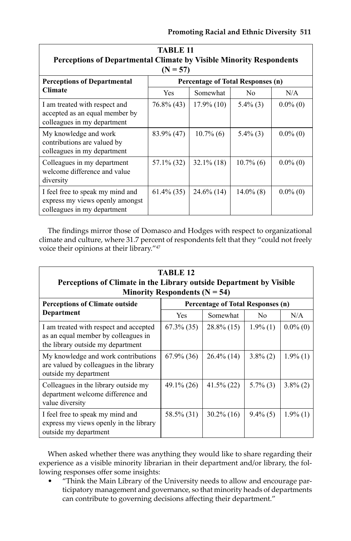| TABLE 11<br><b>Perceptions of Departmental Climate by Visible Minority Respondents</b><br>$(N = 57)$ |               |                                   |                |             |
|------------------------------------------------------------------------------------------------------|---------------|-----------------------------------|----------------|-------------|
| <b>Perceptions of Departmental</b>                                                                   |               | Percentage of Total Responses (n) |                |             |
| <b>Climate</b>                                                                                       | <b>Yes</b>    | Somewhat                          | N <sub>0</sub> | N/A         |
| I am treated with respect and<br>accepted as an equal member by<br>colleagues in my department       | $76.8\%$ (43) | $17.9\%$ (10)                     | $5.4\%$ (3)    | $0.0\%$ (0) |
| My knowledge and work<br>contributions are valued by<br>colleagues in my department                  | 83.9% (47)    | $10.7\%$ (6)                      | $5.4\%$ (3)    | $0.0\%$ (0) |
| Colleagues in my department<br>welcome difference and value<br>diversity                             | 57.1% (32)    | $32.1\%$ (18)                     | $10.7\%$ (6)   | $0.0\%$ (0) |
| I feel free to speak my mind and<br>express my views openly amongst<br>colleagues in my department   | $61.4\%$ (35) | $24.6\%$ (14)                     | $14.0\%$ (8)   | $0.0\%$ (0) |

The findings mirror those of Domasco and Hodges with respect to organizational climate and culture, where 31.7 percent of respondents felt that they "could not freely voice their opinions at their library."<sup>47</sup>

| TABLE <sub>12</sub><br>Perceptions of Climate in the Library outside Department by Visible                         |               |                                          |             |             |
|--------------------------------------------------------------------------------------------------------------------|---------------|------------------------------------------|-------------|-------------|
| Minority Respondents ( $N = 54$ )                                                                                  |               |                                          |             |             |
| <b>Perceptions of Climate outside</b>                                                                              |               | <b>Percentage of Total Responses (n)</b> |             |             |
| Department                                                                                                         | <b>Yes</b>    | Somewhat                                 | No.         | N/A         |
| I am treated with respect and accepted<br>as an equal member by colleagues in<br>the library outside my department | $67.3\%$ (35) | $28.8\%$ (15)                            | $1.9\%$ (1) | $0.0\%$ (0) |
| My knowledge and work contributions<br>are valued by colleagues in the library<br>outside my department            | $67.9\%$ (36) | $26.4\%$ (14)                            | $3.8\%$ (2) | $1.9\%$ (1) |
| Colleagues in the library outside my<br>department welcome difference and<br>value diversity                       | $49.1\%$ (26) | $41.5\%$ (22)                            | $5.7\%$ (3) | $3.8\%$ (2) |
| I feel free to speak my mind and<br>express my views openly in the library<br>outside my department                | 58.5% (31)    | $30.2\%$ (16)                            | $9.4\%$ (5) | $1.9\%$ (1) |

When asked whether there was anything they would like to share regarding their experience as a visible minority librarian in their department and/or library, the following responses offer some insights:

• "Think the Main Library of the University needs to allow and encourage participatory management and governance, so that minority heads of departments can contribute to governing decisions affecting their department."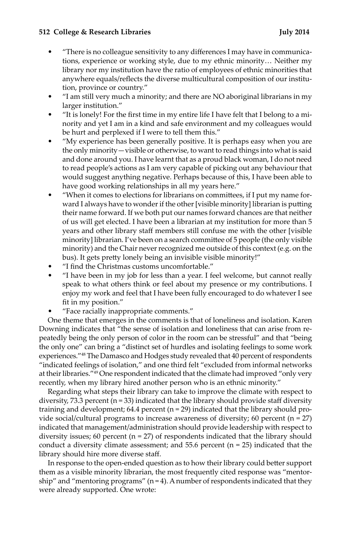#### **512 College & Research Libraries July 2014**

- "There is no colleague sensitivity to any differences I may have in communications, experience or working style, due to my ethnic minority… Neither my library nor my institution have the ratio of employees of ethnic minorities that anywhere equals/reflects the diverse multicultural composition of our institution, province or country."
- "I am still very much a minority; and there are NO aboriginal librarians in my larger institution."
- "It is lonely! For the first time in my entire life I have felt that I belong to a minority and yet I am in a kind and safe environment and my colleagues would be hurt and perplexed if I were to tell them this."
- "My experience has been generally positive. It is perhaps easy when you are the only minority—visible or otherwise, to want to read things into what is said and done around you. I have learnt that as a proud black woman, I do not need to read people's actions as I am very capable of picking out any behaviour that would suggest anything negative. Perhaps because of this, I have been able to have good working relationships in all my years here."
- "When it comes to elections for librarians on committees, if I put my name forward I always have to wonder if the other [visible minority] librarian is putting their name forward. If we both put our names forward chances are that neither of us will get elected. I have been a librarian at my institution for more than 5 years and other library staff members still confuse me with the other [visible minority] librarian. I've been on a search committee of 5 people (the only visible minority) and the Chair never recognized me outside of this context (e.g. on the bus). It gets pretty lonely being an invisible visible minority!"
- "I find the Christmas customs uncomfortable."
- "I have been in my job for less than a year. I feel welcome, but cannot really speak to what others think or feel about my presence or my contributions. I enjoy my work and feel that I have been fully encouraged to do whatever I see fit in my position."
- "Face racially inappropriate comments."

One theme that emerges in the comments is that of loneliness and isolation. Karen Downing indicates that "the sense of isolation and loneliness that can arise from repeatedly being the only person of color in the room can be stressful" and that "being the only one" can bring a "distinct set of hurdles and isolating feelings to some work experiences."48 The Damasco and Hodges study revealed that 40 percent of respondents "indicated feelings of isolation," and one third felt "excluded from informal networks at their libraries."49 One respondent indicated that the climate had improved "only very recently, when my library hired another person who is an ethnic minority."

Regarding what steps their library can take to improve the climate with respect to diversity, 73.3 percent ( $n = 33$ ) indicated that the library should provide staff diversity training and development;  $64.4$  percent ( $n = 29$ ) indicated that the library should provide social/cultural programs to increase awareness of diversity; 60 percent  $(n = 27)$ indicated that management/administration should provide leadership with respect to diversity issues; 60 percent ( $n = 27$ ) of respondents indicated that the library should conduct a diversity climate assessment; and 55.6 percent  $(n = 25)$  indicated that the library should hire more diverse staff.

In response to the open-ended question as to how their library could better support them as a visible minority librarian, the most frequently cited response was "mentorship" and "mentoring programs"  $(n=4)$ . A number of respondents indicated that they were already supported. One wrote: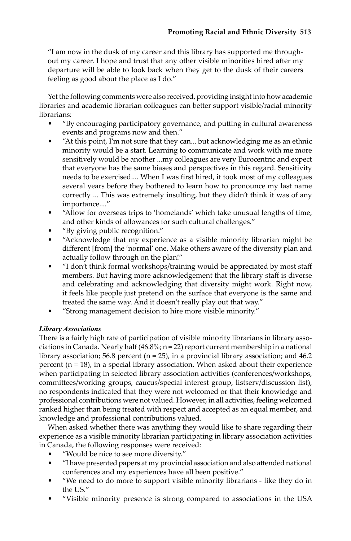"I am now in the dusk of my career and this library has supported me throughout my career. I hope and trust that any other visible minorities hired after my departure will be able to look back when they get to the dusk of their careers feeling as good about the place as I do."

Yet the following comments were also received, providing insight into how academic libraries and academic librarian colleagues can better support visible/racial minority librarians:

- "By encouraging participatory governance, and putting in cultural awareness events and programs now and then."
- "At this point, I'm not sure that they can... but acknowledging me as an ethnic minority would be a start. Learning to communicate and work with me more sensitively would be another ...my colleagues are very Eurocentric and expect that everyone has the same biases and perspectives in this regard. Sensitivity needs to be exercised.... When I was first hired, it took most of my colleagues several years before they bothered to learn how to pronounce my last name correctly ... This was extremely insulting, but they didn't think it was of any importance...."
- "Allow for overseas trips to 'homelands' which take unusual lengths of time, and other kinds of allowances for such cultural challenges."
- "By giving public recognition."
- "Acknowledge that my experience as a visible minority librarian might be different [from] the 'normal' one. Make others aware of the diversity plan and actually follow through on the plan!"
- "I don't think formal workshops/training would be appreciated by most staff members. But having more acknowledgement that the library staff is diverse and celebrating and acknowledging that diversity might work. Right now, it feels like people just pretend on the surface that everyone is the same and treated the same way. And it doesn't really play out that way."
- "Strong management decision to hire more visible minority."

# *Library Associations*

There is a fairly high rate of participation of visible minority librarians in library associations in Canada. Nearly half (46.8%; n = 22) report current membership in a national library association; 56.8 percent ( $n = 25$ ), in a provincial library association; and 46.2 percent (n = 18), in a special library association. When asked about their experience when participating in selected library association activities (conferences/workshops, committees/working groups, caucus/special interest group, listserv/discussion list), no respondents indicated that they were not welcomed or that their knowledge and professional contributions were not valued. However, in all activities, feeling welcomed ranked higher than being treated with respect and accepted as an equal member, and knowledge and professional contributions valued.

When asked whether there was anything they would like to share regarding their experience as a visible minority librarian participating in library association activities in Canada, the following responses were received:

- "Would be nice to see more diversity."
- "I have presented papers at my provincial association and also attended national conferences and my experiences have all been positive."
- "We need to do more to support visible minority librarians like they do in the US."
- "Visible minority presence is strong compared to associations in the USA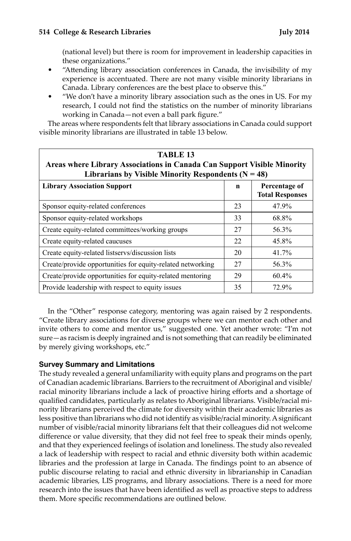(national level) but there is room for improvement in leadership capacities in these organizations."

- "Attending library association conferences in Canada, the invisibility of my experience is accentuated. There are not many visible minority librarians in Canada. Library conferences are the best place to observe this."
- "We don't have a minority library association such as the ones in US. For my research, I could not find the statistics on the number of minority librarians working in Canada—not even a ball park figure."

The areas where respondents felt that library associations in Canada could support visible minority librarians are illustrated in table 13 below.

| <b>TABLE 13</b><br>Areas where Library Associations in Canada Can Support Visible Minority<br>Librarians by Visible Minority Respondents ( $N = 48$ ) |    |                                         |  |  |
|-------------------------------------------------------------------------------------------------------------------------------------------------------|----|-----------------------------------------|--|--|
| <b>Library Association Support</b>                                                                                                                    | n  | Percentage of<br><b>Total Responses</b> |  |  |
| Sponsor equity-related conferences                                                                                                                    | 23 | 47.9%                                   |  |  |
| Sponsor equity-related workshops                                                                                                                      | 33 | 68.8%                                   |  |  |
| Create equity-related committees/working groups                                                                                                       |    | 56.3%                                   |  |  |
| Create equity-related caucuses                                                                                                                        | 22 | 45.8%                                   |  |  |
| Create equity-related listservs/discussion lists                                                                                                      | 20 | 41.7%                                   |  |  |
| Create/provide opportunities for equity-related networking                                                                                            | 27 | 56.3%                                   |  |  |
| Create/provide opportunities for equity-related mentoring                                                                                             | 29 | 60.4%                                   |  |  |
| Provide leadership with respect to equity issues<br>35<br>72.9%                                                                                       |    |                                         |  |  |

In the "Other" response category, mentoring was again raised by 2 respondents. "Create library associations for diverse groups where we can mentor each other and invite others to come and mentor us," suggested one. Yet another wrote: "I'm not sure—as racism is deeply ingrained and is not something that can readily be eliminated by merely giving workshops, etc."

# **Survey Summary and Limitations**

The study revealed a general unfamiliarity with equity plans and programs on the part of Canadian academic librarians. Barriers to the recruitment of Aboriginal and visible/ racial minority librarians include a lack of proactive hiring efforts and a shortage of qualified candidates, particularly as relates to Aboriginal librarians. Visible/racial minority librarians perceived the climate for diversity within their academic libraries as less positive than librarians who did not identify as visible/racial minority. A significant number of visible/racial minority librarians felt that their colleagues did not welcome difference or value diversity, that they did not feel free to speak their minds openly, and that they experienced feelings of isolation and loneliness. The study also revealed a lack of leadership with respect to racial and ethnic diversity both within academic libraries and the profession at large in Canada. The findings point to an absence of public discourse relating to racial and ethnic diversity in librarianship in Canadian academic libraries, LIS programs, and library associations. There is a need for more research into the issues that have been identified as well as proactive steps to address them. More specific recommendations are outlined below.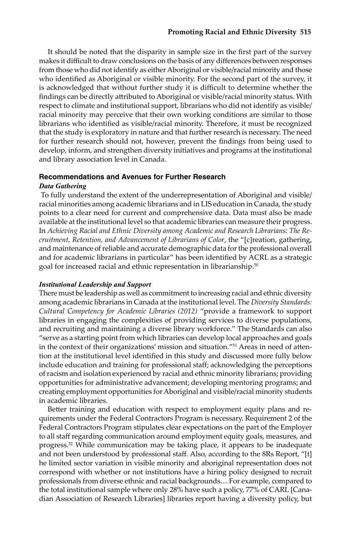It should be noted that the disparity in sample size in the first part of the survey makes it difficult to draw conclusions on the basis of any differences between responses from those who did not identify as either Aboriginal or visible/racial minority and those who identified as Aboriginal or visible minority. For the second part of the survey, it is acknowledged that without further study it is difficult to determine whether the findings can be directly attributed to Aboriginal or visible/racial minority status. With respect to climate and institutional support, librarians who did not identify as visible/ racial minority may perceive that their own working conditions are similar to those librarians who identified as visible/racial minority. Therefore, it must be recognized that the study is exploratory in nature and that further research is necessary. The need for further research should not, however, prevent the findings from being used to develop, inform, and strengthen diversity initiatives and programs at the institutional and library association level in Canada.

#### **Recommendations and Avenues for Further Research** *Data Gathering*

 To fully understand the extent of the underrepresentation of Aboriginal and visible/ racial minorities among academic librarians and in LIS education in Canada, the study points to a clear need for current and comprehensive data. Data must also be made available at the institutional level so that academic libraries can measure their progress. In *Achieving Racial and Ethnic Diversity among Academic and Research Librarians: The Recruitment, Retention, and Advancement of Librarians of Color*, the "[c]reation, gathering, and maintenance of reliable and accurate demographic data for the professional overall and for academic librarians in particular" has been identified by ACRL as a strategic goal for increased racial and ethnic representation in librarianship.<sup>50</sup>

# *Institutional Leadership and Support*

There must be leadership as well as commitment to increasing racial and ethnic diversity among academic librarians in Canada at the institutional level. The *Diversity Standards: Cultural Competency for Academic Libraries (2012)* "provide a framework to support libraries in engaging the complexities of providing services to diverse populations, and recruiting and maintaining a diverse library workforce." The Standards can also "serve as a starting point from which libraries can develop local approaches and goals in the context of their organizations' mission and situation."51 Areas in need of attention at the institutional level identified in this study and discussed more fully below include education and training for professional staff; acknowledging the perceptions of racism and isolation experienced by racial and ethnic minority librarians; providing opportunities for administrative advancement; developing mentoring programs; and creating employment opportunities for Aboriginal and visible/racial minority students in academic libraries.

Better training and education with respect to employment equity plans and requirements under the Federal Contractors Program is necessary. Requirement 2 of the Federal Contractors Program stipulates clear expectations on the part of the Employer to all staff regarding communication around employment equity goals, measures, and progress.<sup>52</sup> While communication may be taking place, it appears to be inadequate and not been understood by professional staff. Also, according to the 8Rs Report, "[t] he limited sector variation in visible minority and aboriginal representation does not correspond with whether or not institutions have a hiring policy designed to recruit professionals from diverse ethnic and racial backgrounds… For example, compared to the total institutional sample where only 28% have such a policy, 77% of CARL [Canadian Association of Research Libraries] libraries report having a diversity policy, but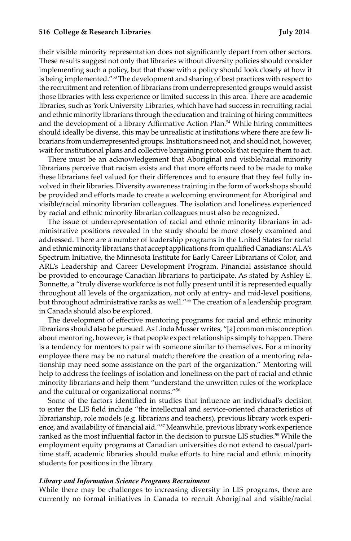their visible minority representation does not significantly depart from other sectors. These results suggest not only that libraries without diversity policies should consider implementing such a policy, but that those with a policy should look closely at how it is being implemented."53 The development and sharing of best practices with respect to the recruitment and retention of librarians from underrepresented groups would assist those libraries with less experience or limited success in this area. There are academic libraries, such as York University Libraries, which have had success in recruiting racial and ethnic minority librarians through the education and training of hiring committees and the development of a library Affirmative Action Plan.<sup>54</sup> While hiring committees should ideally be diverse, this may be unrealistic at institutions where there are few librarians from underrepresented groups. Institutions need not, and should not, however, wait for institutional plans and collective bargaining protocols that require them to act.

There must be an acknowledgement that Aboriginal and visible/racial minority librarians perceive that racism exists and that more efforts need to be made to make these librarians feel valued for their differences and to ensure that they feel fully involved in their libraries. Diversity awareness training in the form of workshops should be provided and efforts made to create a welcoming environment for Aboriginal and visible/racial minority librarian colleagues. The isolation and loneliness experienced by racial and ethnic minority librarian colleagues must also be recognized.

The issue of underrepresentation of racial and ethnic minority librarians in administrative positions revealed in the study should be more closely examined and addressed. There are a number of leadership programs in the United States for racial and ethnic minority librarians that accept applications from qualified Canadians: ALA's Spectrum Initiative, the Minnesota Institute for Early Career Librarians of Color, and ARL's Leadership and Career Development Program. Financial assistance should be provided to encourage Canadian librarians to participate. As stated by Ashley E. Bonnette, a "truly diverse workforce is not fully present until it is represented equally throughout all levels of the organization, not only at entry- and mid-level positions, but throughout administrative ranks as well."55 The creation of a leadership program in Canada should also be explored.

The development of effective mentoring programs for racial and ethnic minority librarians should also be pursued. As Linda Musser writes, "[a] common misconception about mentoring, however, is that people expect relationships simply to happen. There is a tendency for mentors to pair with someone similar to themselves. For a minority employee there may be no natural match; therefore the creation of a mentoring relationship may need some assistance on the part of the organization." Mentoring will help to address the feelings of isolation and loneliness on the part of racial and ethnic minority librarians and help them "understand the unwritten rules of the workplace and the cultural or organizational norms."56

Some of the factors identified in studies that influence an individual's decision to enter the LIS field include "the intellectual and service-oriented characteristics of librarianship, role models (e.g. librarians and teachers), previous library work experience, and availability of financial aid."57 Meanwhile, previous library work experience ranked as the most influential factor in the decision to pursue LIS studies.<sup>58</sup> While the employment equity programs at Canadian universities do not extend to casual/parttime staff, academic libraries should make efforts to hire racial and ethnic minority students for positions in the library.

#### *Library and Information Science Programs Recruitment*

While there may be challenges to increasing diversity in LIS programs, there are currently no formal initiatives in Canada to recruit Aboriginal and visible/racial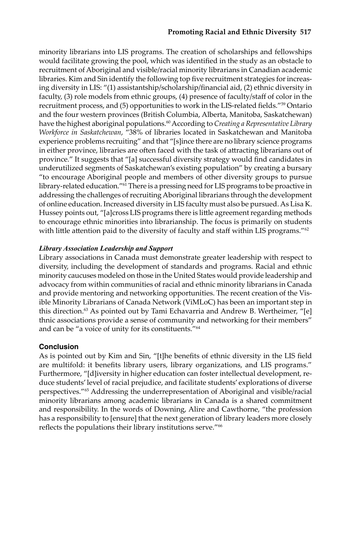minority librarians into LIS programs. The creation of scholarships and fellowships would facilitate growing the pool, which was identified in the study as an obstacle to recruitment of Aboriginal and visible/racial minority librarians in Canadian academic libraries. Kim and Sin identify the following top five recruitment strategies for increasing diversity in LIS: "(1) assistantship/scholarship/financial aid, (2) ethnic diversity in faculty, (3) role models from ethnic groups, (4) presence of faculty/staff of color in the recruitment process, and (5) opportunities to work in the LIS-related fields."59 Ontario and the four western provinces (British Columbia, Alberta, Manitoba, Saskatchewan) have the highest aboriginal populations.<sup>60</sup> According to *Creating a Representative Library Workforce in Saskatchewan*, "38% of libraries located in Saskatchewan and Manitoba experience problems recruiting" and that "[s]ince there are no library science programs in either province, libraries are often faced with the task of attracting librarians out of province." It suggests that "[a] successful diversity strategy would find candidates in underutilized segments of Saskatchewan's existing population" by creating a bursary "to encourage Aboriginal people and members of other diversity groups to pursue library-related education."61 There is a pressing need for LIS programs to be proactive in addressing the challenges of recruiting Aboriginal librarians through the development of online education. Increased diversity in LIS faculty must also be pursued. As Lisa K. Hussey points out, "[a]cross LIS programs there is little agreement regarding methods to encourage ethnic minorities into librarianship. The focus is primarily on students with little attention paid to the diversity of faculty and staff within LIS programs."<sup>62</sup>

# *Library Association Leadership and Support*

Library associations in Canada must demonstrate greater leadership with respect to diversity, including the development of standards and programs. Racial and ethnic minority caucuses modeled on those in the United States would provide leadership and advocacy from within communities of racial and ethnic minority librarians in Canada and provide mentoring and networking opportunities. The recent creation of the Visible Minority Librarians of Canada Network (ViMLoC) has been an important step in this direction.<sup>63</sup> As pointed out by Tami Echavarria and Andrew B. Wertheimer, "[e] thnic associations provide a sense of community and networking for their members" and can be "a voice of unity for its constituents."<sup>64</sup>

# **Conclusion**

As is pointed out by Kim and Sin, "[t]he benefits of ethnic diversity in the LIS field are multifold: it benefits library users, library organizations, and LIS programs." Furthermore, "[d]iversity in higher education can foster intellectual development, reduce students' level of racial prejudice, and facilitate students' explorations of diverse perspectives."65 Addressing the underrepresentation of Aboriginal and visible/racial minority librarians among academic librarians in Canada is a shared commitment and responsibility. In the words of Downing, Alire and Cawthorne, "the profession has a responsibility to [ensure] that the next generation of library leaders more closely reflects the populations their library institutions serve."66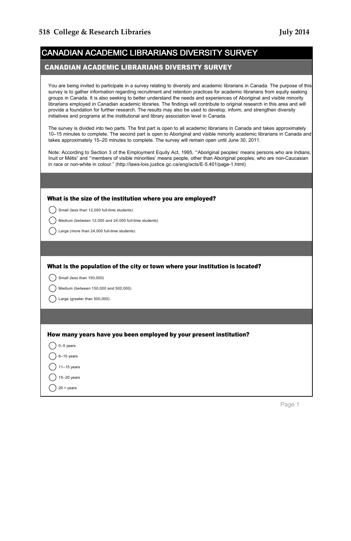| CANADIAN ACADEMIC LIBRARIANS DIVERSITY SURVEY |  |
|-----------------------------------------------|--|

#### CANADIAN ACADEMIC LIBRARIANS DIVERSITY SURVEY

You are being invited to participate in a survey relating to diversity and academic librarians in Canada. The purpose of this survey is to gather information regarding recruitment and retention practices for academic librarians from equity seeking groups in Canada. It is also seeking to better understand the needs and experiences of Aboriginal and visible minority librarians employed in Canadian academic libraries. The findings will contribute to original research in this area and will provide a foundation for further research. The results may also be used to develop, inform, and strengthen diversity initiatives and programs at the institutional and library association level in Canada.

The survey is divided into two parts. The first part is open to all academic librarians in Canada and takes approximately 10–15 minutes to complete. The second part is open to Aboriginal and visible minority academic librarians in Canada and takes approximately 15–20 minutes to complete. The survey will remain open until June 30, 2011.

Note: According to Section 3 of the Employment Equity Act, 1995, "'Aboriginal peoples' means persons who are Indians, Inuit or Métis" and "'members of visible minorities' means people, other than Aboriginal peoples, who are non-Caucasian in race or non-white in colour." (http://laws-lois.justice.gc.ca/eng/acts/E-5.401/page-1.html)

| What is the size of the institution where you are employed?                   |
|-------------------------------------------------------------------------------|
| Small (less than 12,000 full-time students)                                   |
| Medium (between 12,000 and 24,000 full-time students)                         |
| Large (more than 24,000 full-time students)                                   |
|                                                                               |
| What is the population of the city or town where your institution is located? |
| Small (less than 150,000)                                                     |
| Medium (between 150,000 and 500,000)                                          |
| Large (greater than 500,000)                                                  |
|                                                                               |
|                                                                               |
| How many years have you been employed by your present institution?            |
| $0-5$ years                                                                   |
| $6-10$ years                                                                  |
| $11-15$ years                                                                 |
| $15-20$ years                                                                 |
| $20 + years$                                                                  |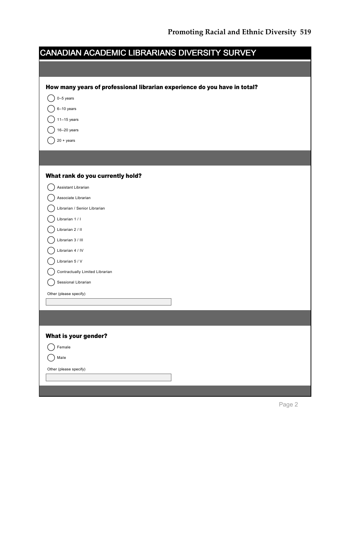| CANADIAN ACADEMIC LIBRARIANS DIVERSITY SURVEY                             |  |
|---------------------------------------------------------------------------|--|
|                                                                           |  |
| How many years of professional librarian experience do you have in total? |  |
| $0-5$ years                                                               |  |
| $6-10$ years                                                              |  |
| $11 - 15$ years                                                           |  |
| $16-20$ years                                                             |  |
| $20 + \text{years}$                                                       |  |
|                                                                           |  |
| What rank do you currently hold?                                          |  |
| Assistant Librarian                                                       |  |
| Associate Librarian                                                       |  |
| Librarian / Senior Librarian                                              |  |
| Librarian 1 / I                                                           |  |
| Librarian 2 / II                                                          |  |
| Librarian 3 / III                                                         |  |
| Librarian 4 / IV                                                          |  |
| Librarian 5 / V                                                           |  |
| Contractually Limited Librarian                                           |  |
| Sessional Librarian                                                       |  |
| Other (please specify)                                                    |  |
|                                                                           |  |
|                                                                           |  |
|                                                                           |  |
| What is your gender?                                                      |  |
| Female                                                                    |  |
| Male                                                                      |  |
| Other (please specify)                                                    |  |
|                                                                           |  |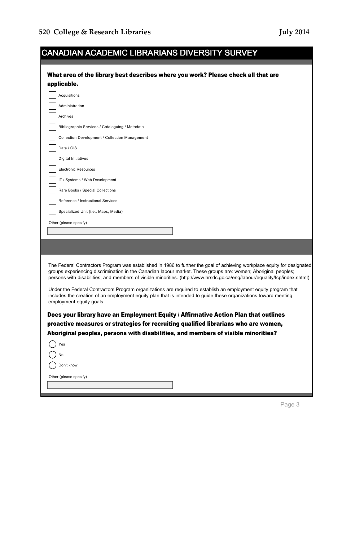| <b>CANADIAN ACADEMIC LIBRARIANS DIVERSITY SURVEY</b>                                                                                                                                                                                                                                                                                                                     |
|--------------------------------------------------------------------------------------------------------------------------------------------------------------------------------------------------------------------------------------------------------------------------------------------------------------------------------------------------------------------------|
| What area of the library best describes where you work? Please check all that are<br>applicable.                                                                                                                                                                                                                                                                         |
| Acquisitions                                                                                                                                                                                                                                                                                                                                                             |
| Administration                                                                                                                                                                                                                                                                                                                                                           |
| Archives                                                                                                                                                                                                                                                                                                                                                                 |
| Bibliographic Services / Cataloguing / Metadata                                                                                                                                                                                                                                                                                                                          |
| Collection Development / Collection Management                                                                                                                                                                                                                                                                                                                           |
| Data / GIS                                                                                                                                                                                                                                                                                                                                                               |
| <b>Digital Initiatives</b>                                                                                                                                                                                                                                                                                                                                               |
| <b>Electronic Resources</b>                                                                                                                                                                                                                                                                                                                                              |
| IT / Systems / Web Development                                                                                                                                                                                                                                                                                                                                           |
| Rare Books / Special Collections                                                                                                                                                                                                                                                                                                                                         |
| Reference / Instructional Services                                                                                                                                                                                                                                                                                                                                       |
| Specialized Unit (i.e., Maps, Media)                                                                                                                                                                                                                                                                                                                                     |
| Other (please specify)                                                                                                                                                                                                                                                                                                                                                   |
|                                                                                                                                                                                                                                                                                                                                                                          |
|                                                                                                                                                                                                                                                                                                                                                                          |
| The Federal Contractors Program was established in 1986 to further the goal of achieving workplace equity for designated<br>groups experiencing discrimination in the Canadian labour market. These groups are: women; Aboriginal peoples;<br>persons with disabilities; and members of visible minorities. (http://www.hrsdc.gc.ca/eng/labour/equality/fcp/index.shtml) |
| Under the Federal Contractors Program organizations are required to establish an employment equity program that<br>includes the creation of an employment equity plan that is intended to guide these organizations toward meeting<br>employment equity goals.                                                                                                           |
| Does your library have an Employment Equity / Affirmative Action Plan that outlines<br>proactive measures or strategies for recruiting qualified librarians who are women,<br>Aboriginal peoples, persons with disabilities, and members of visible minorities?                                                                                                          |
| Yes                                                                                                                                                                                                                                                                                                                                                                      |
| No                                                                                                                                                                                                                                                                                                                                                                       |
| Don't know                                                                                                                                                                                                                                                                                                                                                               |
| Other (please specify)                                                                                                                                                                                                                                                                                                                                                   |
|                                                                                                                                                                                                                                                                                                                                                                          |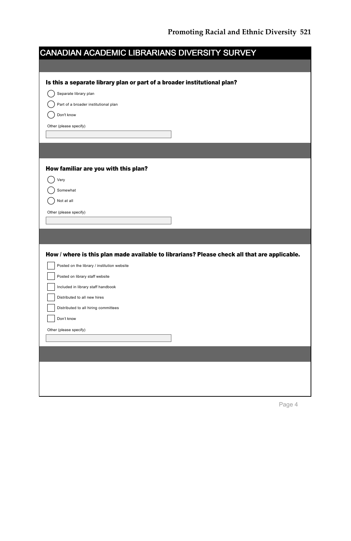| CANADIAN ACADEMIC LIBRARIANS DIVERSITY SURVEY                            |                                                                                              |
|--------------------------------------------------------------------------|----------------------------------------------------------------------------------------------|
|                                                                          |                                                                                              |
| Is this a separate library plan or part of a broader institutional plan? |                                                                                              |
| Separate library plan                                                    |                                                                                              |
| Part of a broader institutional plan                                     |                                                                                              |
| Don't know                                                               |                                                                                              |
| Other (please specify)                                                   |                                                                                              |
|                                                                          |                                                                                              |
|                                                                          |                                                                                              |
| How familiar are you with this plan?                                     |                                                                                              |
| Very                                                                     |                                                                                              |
| Somewhat                                                                 |                                                                                              |
| Not at all                                                               |                                                                                              |
| Other (please specify)                                                   |                                                                                              |
|                                                                          |                                                                                              |
|                                                                          |                                                                                              |
|                                                                          |                                                                                              |
|                                                                          | How / where is this plan made available to librarians? Please check all that are applicable. |
| Posted on the library / institution website                              |                                                                                              |
| Posted on library staff website                                          |                                                                                              |
| Included in library staff handbook                                       |                                                                                              |
| Distributed to all new hires                                             |                                                                                              |
| Distributed to all hiring committees                                     |                                                                                              |
| Don't know                                                               |                                                                                              |
| Other (please specify)                                                   |                                                                                              |
|                                                                          |                                                                                              |
|                                                                          |                                                                                              |
|                                                                          |                                                                                              |
|                                                                          |                                                                                              |
|                                                                          |                                                                                              |
|                                                                          |                                                                                              |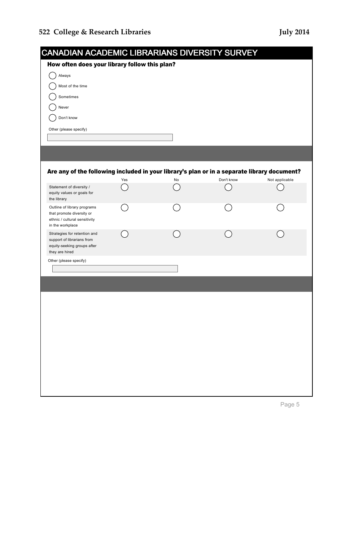$\bigcap$  Always  $\bigcirc$  Most of the time  $\bigcirc$  Sometimes  $\bigcap$  Never  $\bigcirc$  Don't know Other (please specify)

| <b>CANADIAN ACADEMIC LIBRARIANS DIVERSITY SURVEY</b> |  |
|------------------------------------------------------|--|
| How often does your library follow this plan?        |  |
| Always                                               |  |
| Most of the time                                     |  |
| Sometimes                                            |  |
| Never                                                |  |
|                                                      |  |

# Are any of the following included in your library's plan or in a separate library document?

|                                                                                                               | Yes | No | Don't know | Not applicable |
|---------------------------------------------------------------------------------------------------------------|-----|----|------------|----------------|
| Statement of diversity /<br>equity values or goals for<br>the library                                         |     |    |            |                |
| Outline of library programs<br>that promote diversity or<br>ethnic / cultural sensitivity<br>in the workplace |     |    |            |                |
| Strategies for retention and<br>support of librarians from<br>equity-seeking groups after<br>they are hired   |     |    |            |                |
| Other (please specify)                                                                                        |     |    |            |                |
|                                                                                                               |     |    |            |                |
|                                                                                                               |     |    |            |                |
|                                                                                                               |     |    |            |                |
|                                                                                                               |     |    |            |                |
|                                                                                                               |     |    |            |                |
|                                                                                                               |     |    |            |                |
|                                                                                                               |     |    |            |                |
|                                                                                                               |     |    |            |                |
|                                                                                                               |     |    |            |                |
|                                                                                                               |     |    |            |                |
|                                                                                                               |     |    |            |                |
|                                                                                                               |     |    |            |                |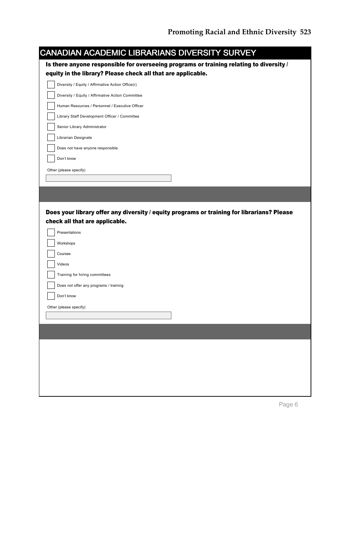| <b>CANADIAN ACADEMIC LIBRARIANS DIVERSITY SURVEY</b>                                       |
|--------------------------------------------------------------------------------------------|
| Is there anyone responsible for overseeing programs or training relating to diversity /    |
| equity in the library? Please check all that are applicable.                               |
| Diversity / Equity / Affirmative Action Office(r)                                          |
| Diversity / Equity / Affirmative Action Committee                                          |
| Human Resources / Personnel / Executive Officer                                            |
| Library Staff Development Officer / Committee                                              |
| Senior Library Administrator                                                               |
| Librarian Designate                                                                        |
| Does not have anyone responsible                                                           |
| Don't know                                                                                 |
| Other (please specify)                                                                     |
|                                                                                            |
|                                                                                            |
|                                                                                            |
|                                                                                            |
|                                                                                            |
| Does your library offer any diversity / equity programs or training for librarians? Please |
| check all that are applicable.                                                             |
| Presentations                                                                              |
| Workshops                                                                                  |
| Courses                                                                                    |
| Videos                                                                                     |
| Training for hiring committees                                                             |
| Does not offer any programs / training                                                     |
| Don't know                                                                                 |
| Other (please specify)                                                                     |
|                                                                                            |
|                                                                                            |
|                                                                                            |
|                                                                                            |
|                                                                                            |
|                                                                                            |
|                                                                                            |
|                                                                                            |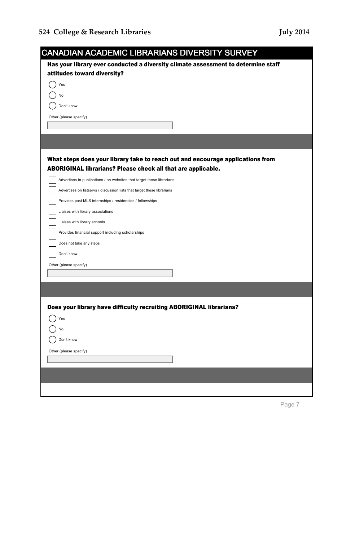| <b>CANADIAN ACADEMIC LIBRARIANS DIVERSITY SURVEY</b>                              |
|-----------------------------------------------------------------------------------|
| Has your library ever conducted a diversity climate assessment to determine staff |
| attitudes toward diversity?                                                       |
| Yes                                                                               |
| No                                                                                |
| Don't know                                                                        |
| Other (please specify)                                                            |
|                                                                                   |
|                                                                                   |
| What steps does your library take to reach out and encourage applications from    |
| ABORIGINAL librarians? Please check all that are applicable.                      |
| Advertises in publications / on websites that target these librarians             |
| Advertises on listservs / discussion lists that target these librarians           |
| Provides post-MLS internships / residencies / fellowships                         |
| Liaises with library associations                                                 |
| Liaises with library schools                                                      |
| Provides financial support including scholarships                                 |
| Does not take any steps                                                           |
| Don't know                                                                        |
| Other (please specify)                                                            |
|                                                                                   |
|                                                                                   |
| Does your library have difficulty recruiting ABORIGINAL librarians?               |
| Yes                                                                               |
| No                                                                                |
| Don't know                                                                        |
| Other (please specify)                                                            |
|                                                                                   |
|                                                                                   |
|                                                                                   |
|                                                                                   |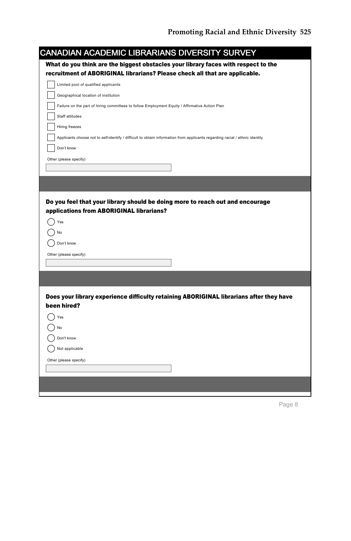| CANADIAN ACADEMIC LIBRARIANS DIVERSITY SURVEY                                                                               |
|-----------------------------------------------------------------------------------------------------------------------------|
| What do you think are the biggest obstacles your library faces with respect to the                                          |
| recruitment of ABORIGINAL librarians? Please check all that are applicable.                                                 |
| Limited pool of qualified applicants                                                                                        |
| Geographical location of institution                                                                                        |
| Failure on the part of hiring committees to follow Employment Equity / Affirmative Action Plan                              |
| Staff attitudes                                                                                                             |
| Hiring freezes                                                                                                              |
| Applicants choose not to self-identify / difficult to obtain information from applicants regarding racial / ethnic identity |
| Don't know                                                                                                                  |
| Other (please specify)                                                                                                      |
|                                                                                                                             |
|                                                                                                                             |
|                                                                                                                             |
|                                                                                                                             |
| Do you feel that your library should be doing more to reach out and encourage                                               |
| applications from ABORIGINAL librarians?                                                                                    |
| Yes                                                                                                                         |
| No                                                                                                                          |
| Don't know                                                                                                                  |
| Other (please specify)                                                                                                      |
|                                                                                                                             |
|                                                                                                                             |
|                                                                                                                             |
|                                                                                                                             |
| Does your library experience difficulty retaining ABORIGINAL librarians after they have<br>been hired?                      |
| Yes                                                                                                                         |
| No                                                                                                                          |
| Don't know                                                                                                                  |
| Not applicable                                                                                                              |
| Other (please specify)                                                                                                      |
|                                                                                                                             |
|                                                                                                                             |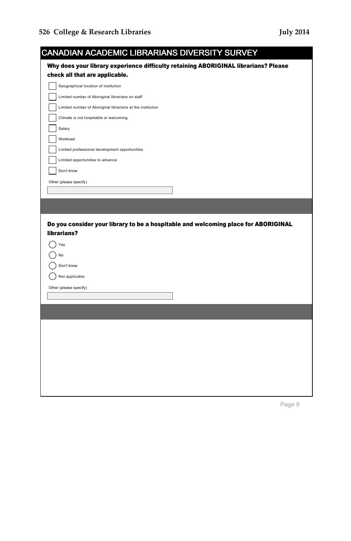| CANADIAN ACADEMIC LIBRARIANS DIVERSITY SURVEY                                       |
|-------------------------------------------------------------------------------------|
| Why does your library experience difficulty retaining ABORIGINAL librarians? Please |
| check all that are applicable.                                                      |
| Geographical location of institution                                                |
| Limited number of Aboriginal librarians on staff                                    |
| Limited number of Aboriginal librarians at the institution                          |
| Climate is not hospitable or welcoming                                              |
| Salary                                                                              |
| Workload                                                                            |
| Limited professional development opportunities                                      |
| Limited opportunities to advance                                                    |
| Don't know                                                                          |
| Other (please specify)                                                              |
|                                                                                     |
|                                                                                     |
|                                                                                     |
| Do you consider your library to be a hospitable and welcoming place for ABORIGINAL  |
| librarians?                                                                         |
| Yes                                                                                 |
| No                                                                                  |
| Don't know                                                                          |
| Not applicable                                                                      |
| Other (please specify)                                                              |
|                                                                                     |
|                                                                                     |
|                                                                                     |
|                                                                                     |
|                                                                                     |
|                                                                                     |
|                                                                                     |
|                                                                                     |
|                                                                                     |
|                                                                                     |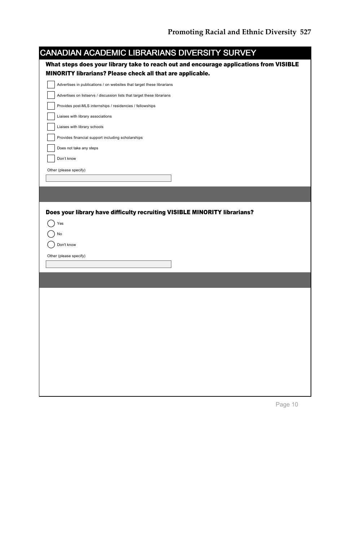| CANADIAN ACADEMIC LIBRARIANS DIVERSITY SURVEY<br>What steps does your library take to reach out and encourage applications from VISIBLE<br>MINORITY librarians? Please check all that are applicable.<br>Advertises in publications / on websites that target these librarians<br>Advertises on listservs / discussion lists that target these librarians |  |
|-----------------------------------------------------------------------------------------------------------------------------------------------------------------------------------------------------------------------------------------------------------------------------------------------------------------------------------------------------------|--|
|                                                                                                                                                                                                                                                                                                                                                           |  |
|                                                                                                                                                                                                                                                                                                                                                           |  |
|                                                                                                                                                                                                                                                                                                                                                           |  |
|                                                                                                                                                                                                                                                                                                                                                           |  |
|                                                                                                                                                                                                                                                                                                                                                           |  |
| Provides post-MLS internships / residencies / fellowships                                                                                                                                                                                                                                                                                                 |  |
| Liaises with library associations                                                                                                                                                                                                                                                                                                                         |  |
| Liaises with library schools                                                                                                                                                                                                                                                                                                                              |  |
| Provides financial support including scholarships                                                                                                                                                                                                                                                                                                         |  |
| Does not take any steps                                                                                                                                                                                                                                                                                                                                   |  |
| Don't know                                                                                                                                                                                                                                                                                                                                                |  |
| Other (please specify)                                                                                                                                                                                                                                                                                                                                    |  |
|                                                                                                                                                                                                                                                                                                                                                           |  |
|                                                                                                                                                                                                                                                                                                                                                           |  |
|                                                                                                                                                                                                                                                                                                                                                           |  |
| No                                                                                                                                                                                                                                                                                                                                                        |  |
| Don't know                                                                                                                                                                                                                                                                                                                                                |  |
| Other (please specify)                                                                                                                                                                                                                                                                                                                                    |  |
|                                                                                                                                                                                                                                                                                                                                                           |  |
|                                                                                                                                                                                                                                                                                                                                                           |  |
|                                                                                                                                                                                                                                                                                                                                                           |  |
|                                                                                                                                                                                                                                                                                                                                                           |  |
|                                                                                                                                                                                                                                                                                                                                                           |  |
|                                                                                                                                                                                                                                                                                                                                                           |  |
|                                                                                                                                                                                                                                                                                                                                                           |  |
|                                                                                                                                                                                                                                                                                                                                                           |  |
|                                                                                                                                                                                                                                                                                                                                                           |  |
|                                                                                                                                                                                                                                                                                                                                                           |  |
|                                                                                                                                                                                                                                                                                                                                                           |  |
|                                                                                                                                                                                                                                                                                                                                                           |  |
|                                                                                                                                                                                                                                                                                                                                                           |  |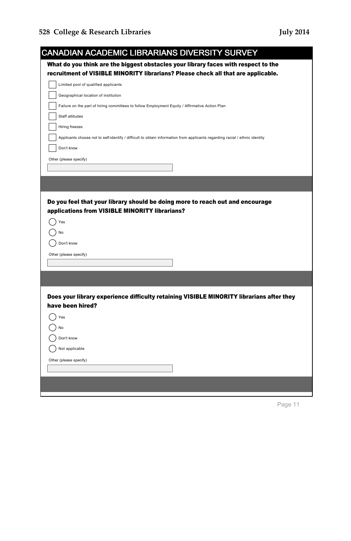| <b>CANADIAN ACADEMIC LIBRARIANS DIVERSITY SURVEY</b>                                                                        |
|-----------------------------------------------------------------------------------------------------------------------------|
| What do you think are the biggest obstacles your library faces with respect to the                                          |
| recruitment of VISIBLE MINORITY librarians? Please check all that are applicable.                                           |
| Limited pool of qualified applicants                                                                                        |
| Geographical location of institution                                                                                        |
| Failure on the part of hiring committees to follow Employment Equity / Affirmative Action Plan                              |
| Staff attitudes                                                                                                             |
| Hiring freezes                                                                                                              |
| Applicants choose not to self-identify / difficult to obtain information from applicants regarding racial / ethnic identity |
| Don't know                                                                                                                  |
| Other (please specify)                                                                                                      |
|                                                                                                                             |
|                                                                                                                             |
|                                                                                                                             |
| Do you feel that your library should be doing more to reach out and encourage                                               |
| applications from VISIBLE MINORITY librarians?                                                                              |
|                                                                                                                             |
| Yes                                                                                                                         |
| No                                                                                                                          |
| Don't know                                                                                                                  |
| Other (please specify)                                                                                                      |
|                                                                                                                             |
|                                                                                                                             |
|                                                                                                                             |
| Does your library experience difficulty retaining VISIBLE MINORITY librarians after they                                    |
| have been hired?                                                                                                            |
| Yes                                                                                                                         |
| No                                                                                                                          |
| Don't know                                                                                                                  |
| Not applicable                                                                                                              |
| Other (please specify)                                                                                                      |
|                                                                                                                             |
|                                                                                                                             |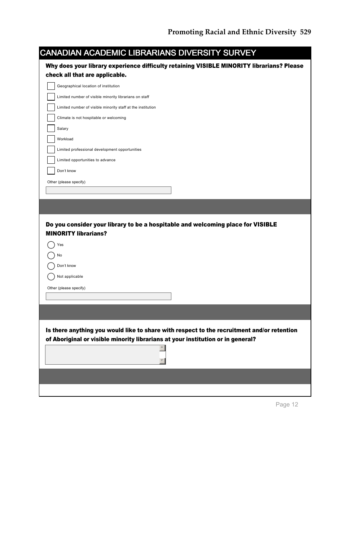| Why does your library experience difficulty retaining VISIBLE MINORITY librarians? Please<br>check all that are applicable.<br>Geographical location of institution<br>Limited number of visible minority librarians on staff<br>Limited number of visible minority staff at the institution<br>Climate is not hospitable or welcoming<br>Salary<br>Workload<br>Limited professional development opportunities<br>Limited opportunities to advance<br>Don't know<br>Other (please specify)<br>Do you consider your library to be a hospitable and welcoming place for VISIBLE<br><b>MINORITY librarians?</b><br>Yes<br>No<br>Don't know<br>Not applicable<br>Other (please specify) | CANADIAN ACADEMIC LIBRARIANS DIVERSITY SURVEY |  |
|-------------------------------------------------------------------------------------------------------------------------------------------------------------------------------------------------------------------------------------------------------------------------------------------------------------------------------------------------------------------------------------------------------------------------------------------------------------------------------------------------------------------------------------------------------------------------------------------------------------------------------------------------------------------------------------|-----------------------------------------------|--|
|                                                                                                                                                                                                                                                                                                                                                                                                                                                                                                                                                                                                                                                                                     |                                               |  |
|                                                                                                                                                                                                                                                                                                                                                                                                                                                                                                                                                                                                                                                                                     |                                               |  |
|                                                                                                                                                                                                                                                                                                                                                                                                                                                                                                                                                                                                                                                                                     |                                               |  |
|                                                                                                                                                                                                                                                                                                                                                                                                                                                                                                                                                                                                                                                                                     |                                               |  |
|                                                                                                                                                                                                                                                                                                                                                                                                                                                                                                                                                                                                                                                                                     |                                               |  |
|                                                                                                                                                                                                                                                                                                                                                                                                                                                                                                                                                                                                                                                                                     |                                               |  |
|                                                                                                                                                                                                                                                                                                                                                                                                                                                                                                                                                                                                                                                                                     |                                               |  |
|                                                                                                                                                                                                                                                                                                                                                                                                                                                                                                                                                                                                                                                                                     |                                               |  |
|                                                                                                                                                                                                                                                                                                                                                                                                                                                                                                                                                                                                                                                                                     |                                               |  |
|                                                                                                                                                                                                                                                                                                                                                                                                                                                                                                                                                                                                                                                                                     |                                               |  |
|                                                                                                                                                                                                                                                                                                                                                                                                                                                                                                                                                                                                                                                                                     |                                               |  |
|                                                                                                                                                                                                                                                                                                                                                                                                                                                                                                                                                                                                                                                                                     |                                               |  |
|                                                                                                                                                                                                                                                                                                                                                                                                                                                                                                                                                                                                                                                                                     |                                               |  |
|                                                                                                                                                                                                                                                                                                                                                                                                                                                                                                                                                                                                                                                                                     |                                               |  |
|                                                                                                                                                                                                                                                                                                                                                                                                                                                                                                                                                                                                                                                                                     |                                               |  |
| Is there anything you would like to share with respect to the recruitment and/or retention<br>of Aboriginal or visible minority librarians at your institution or in general?                                                                                                                                                                                                                                                                                                                                                                                                                                                                                                       |                                               |  |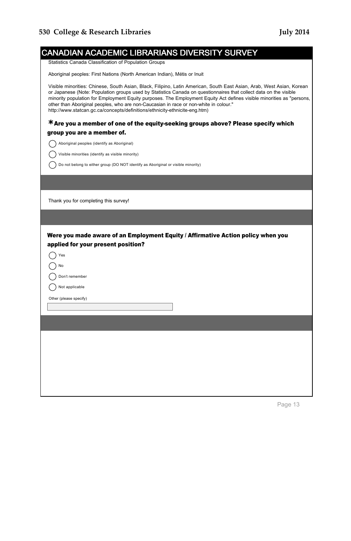| CANADIAN ACADEMIC LIBRARIANS DIVERSITY SURVEY                                                                                                                                                                                                                                                                                                                                                                                                                                                                                              |
|--------------------------------------------------------------------------------------------------------------------------------------------------------------------------------------------------------------------------------------------------------------------------------------------------------------------------------------------------------------------------------------------------------------------------------------------------------------------------------------------------------------------------------------------|
| Statistics Canada Classification of Population Groups                                                                                                                                                                                                                                                                                                                                                                                                                                                                                      |
| Aboriginal peoples: First Nations (North American Indian), Métis or Inuit                                                                                                                                                                                                                                                                                                                                                                                                                                                                  |
| Visible minorities: Chinese, South Asian, Black, Filipino, Latin American, South East Asian, Arab, West Asian, Korean<br>or Japanese (Note: Population groups used by Statistics Canada on guestionnaires that collect data on the visible<br>minority population for Employment Equity purposes. The Employment Equity Act defines visible minorities as "persons,<br>other than Aboriginal peoples, who are non-Caucasian in race or non-white in colour."<br>http://www.statcan.gc.ca/concepts/definitions/ethnicity-ethnicite-eng.htm) |
| $*$ Are you a member of one of the equity-seeking groups above? Please specify which                                                                                                                                                                                                                                                                                                                                                                                                                                                       |
| group you are a member of.                                                                                                                                                                                                                                                                                                                                                                                                                                                                                                                 |
| Aboriginal peoples (identify as Aboriginal)                                                                                                                                                                                                                                                                                                                                                                                                                                                                                                |
| Visible minorities (identify as visible minority)                                                                                                                                                                                                                                                                                                                                                                                                                                                                                          |
| Do not belong to either group (DO NOT identify as Aboriginal or visible minority)                                                                                                                                                                                                                                                                                                                                                                                                                                                          |
|                                                                                                                                                                                                                                                                                                                                                                                                                                                                                                                                            |
| Thank you for completing this survey!                                                                                                                                                                                                                                                                                                                                                                                                                                                                                                      |
|                                                                                                                                                                                                                                                                                                                                                                                                                                                                                                                                            |
| Were you made aware of an Employment Equity / Affirmative Action policy when you<br>applied for your present position?                                                                                                                                                                                                                                                                                                                                                                                                                     |
| Yes                                                                                                                                                                                                                                                                                                                                                                                                                                                                                                                                        |
| No                                                                                                                                                                                                                                                                                                                                                                                                                                                                                                                                         |
| Don't remember                                                                                                                                                                                                                                                                                                                                                                                                                                                                                                                             |
| Not applicable                                                                                                                                                                                                                                                                                                                                                                                                                                                                                                                             |
| Other (please specify)                                                                                                                                                                                                                                                                                                                                                                                                                                                                                                                     |
|                                                                                                                                                                                                                                                                                                                                                                                                                                                                                                                                            |
|                                                                                                                                                                                                                                                                                                                                                                                                                                                                                                                                            |
|                                                                                                                                                                                                                                                                                                                                                                                                                                                                                                                                            |
|                                                                                                                                                                                                                                                                                                                                                                                                                                                                                                                                            |
|                                                                                                                                                                                                                                                                                                                                                                                                                                                                                                                                            |
|                                                                                                                                                                                                                                                                                                                                                                                                                                                                                                                                            |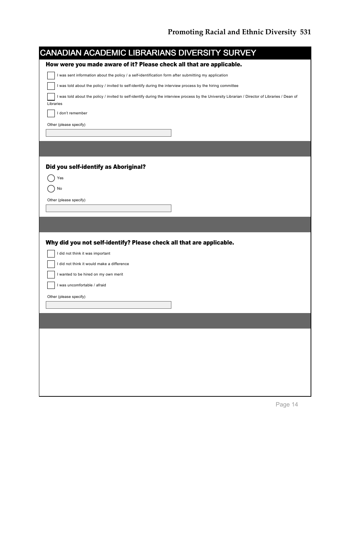| CANADIAN ACADEMIC LIBRARIANS DIVERSITY SURVEY                                                                                                     |
|---------------------------------------------------------------------------------------------------------------------------------------------------|
| How were you made aware of it? Please check all that are applicable.                                                                              |
| I was sent information about the policy / a self-identification form after submitting my application                                              |
| I was told about the policy / invited to self-identify during the interview process by the hiring committee                                       |
| I was told about the policy / invited to self-identify during the interview process by the University Librarian / Director of Libraries / Dean of |
| Libraries                                                                                                                                         |
| I don't remember                                                                                                                                  |
| Other (please specify)                                                                                                                            |
|                                                                                                                                                   |
|                                                                                                                                                   |
|                                                                                                                                                   |
| Did you self-identify as Aboriginal?                                                                                                              |
| Yes                                                                                                                                               |
| No                                                                                                                                                |
| Other (please specify)                                                                                                                            |
|                                                                                                                                                   |
|                                                                                                                                                   |
|                                                                                                                                                   |
| Why did you not self-identify? Please check all that are applicable.                                                                              |
|                                                                                                                                                   |
| I did not think it was important                                                                                                                  |
| I did not think it would make a difference                                                                                                        |
| I wanted to be hired on my own merit                                                                                                              |
| I was uncomfortable / afraid                                                                                                                      |
| Other (please specify)                                                                                                                            |
|                                                                                                                                                   |
|                                                                                                                                                   |
|                                                                                                                                                   |
|                                                                                                                                                   |
|                                                                                                                                                   |
|                                                                                                                                                   |
|                                                                                                                                                   |
|                                                                                                                                                   |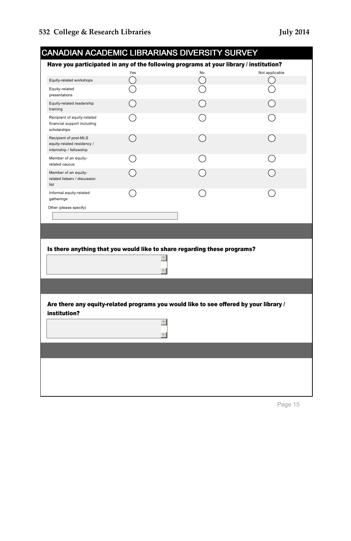|                                                                                | Yes                 | Have you participated in any of the following programs at your library / institution?<br><b>No</b> | Not applicable |
|--------------------------------------------------------------------------------|---------------------|----------------------------------------------------------------------------------------------------|----------------|
| Equity-related workshops                                                       | $(\quad)$           |                                                                                                    |                |
| Equity-related<br>presentations                                                |                     |                                                                                                    |                |
| Equity-related leadership<br>training                                          |                     |                                                                                                    |                |
| Recipient of equity-related<br>financial support including<br>scholarships     |                     |                                                                                                    |                |
| Recipient of post-MLS<br>equity-related residency /<br>internship / fellowship |                     |                                                                                                    |                |
| Member of an equity-<br>related caucus                                         |                     |                                                                                                    |                |
| Member of an equity-<br>related listserv / discussion<br>list                  |                     |                                                                                                    |                |
| Informal equity-related<br>gatherings                                          |                     |                                                                                                    |                |
|                                                                                | $\hat{\phantom{a}}$ | Is there anything that you would like to share regarding these programs?                           |                |
|                                                                                |                     |                                                                                                    |                |
| institution?                                                                   |                     | Are there any equity-related programs you would like to see offered by your library /              |                |
|                                                                                |                     |                                                                                                    |                |
|                                                                                |                     |                                                                                                    |                |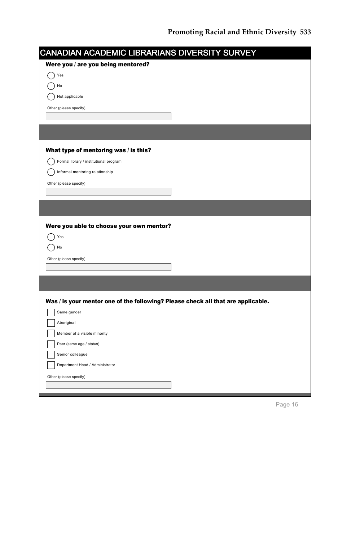| CANADIAN ACADEMIC LIBRARIANS DIVERSITY SURVEY                                    |  |
|----------------------------------------------------------------------------------|--|
| Were you / are you being mentored?                                               |  |
| Yes                                                                              |  |
| No                                                                               |  |
| Not applicable                                                                   |  |
| Other (please specify)                                                           |  |
|                                                                                  |  |
|                                                                                  |  |
| What type of mentoring was / is this?                                            |  |
| Formal library / institutional program                                           |  |
| Informal mentoring relationship                                                  |  |
| Other (please specify)                                                           |  |
|                                                                                  |  |
|                                                                                  |  |
|                                                                                  |  |
| Were you able to choose your own mentor?                                         |  |
| Yes                                                                              |  |
| No                                                                               |  |
| Other (please specify)                                                           |  |
|                                                                                  |  |
|                                                                                  |  |
|                                                                                  |  |
| Was / is your mentor one of the following? Please check all that are applicable. |  |
| Same gender                                                                      |  |
| Aboriginal                                                                       |  |
| Member of a visible minority                                                     |  |
| Peer (same age / status)                                                         |  |
| Senior colleague                                                                 |  |
| Department Head / Administrator                                                  |  |
| Other (please specify)                                                           |  |
|                                                                                  |  |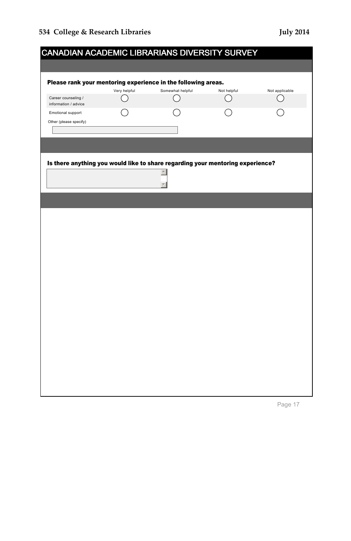|                                             |              | <b>CANADIAN ACADEMIC LIBRARIANS DIVERSITY SURVEY</b>                                               |             |                |
|---------------------------------------------|--------------|----------------------------------------------------------------------------------------------------|-------------|----------------|
|                                             |              |                                                                                                    |             |                |
|                                             |              | Please rank your mentoring experience in the following areas.                                      |             |                |
|                                             | Very helpful | Somewhat helpful                                                                                   | Not helpful | Not applicable |
| Career counseling /<br>information / advice |              | $\ddot{\phantom{1}}$                                                                               |             |                |
| Emotional support                           |              |                                                                                                    |             |                |
| Other (please specify)                      |              |                                                                                                    |             |                |
|                                             |              |                                                                                                    |             |                |
|                                             |              |                                                                                                    |             |                |
|                                             |              |                                                                                                    |             |                |
|                                             |              | Is there anything you would like to share regarding your mentoring experience?<br>$\blacktriangle$ |             |                |
|                                             |              |                                                                                                    |             |                |
|                                             |              |                                                                                                    |             |                |
|                                             |              |                                                                                                    |             |                |
|                                             |              |                                                                                                    |             |                |
|                                             |              |                                                                                                    |             |                |
|                                             |              |                                                                                                    |             |                |
|                                             |              |                                                                                                    |             |                |
|                                             |              |                                                                                                    |             |                |
|                                             |              |                                                                                                    |             |                |
|                                             |              |                                                                                                    |             |                |
|                                             |              |                                                                                                    |             |                |
|                                             |              |                                                                                                    |             |                |
|                                             |              |                                                                                                    |             |                |
|                                             |              |                                                                                                    |             |                |
|                                             |              |                                                                                                    |             |                |
|                                             |              |                                                                                                    |             |                |
|                                             |              |                                                                                                    |             |                |
|                                             |              |                                                                                                    |             |                |
|                                             |              |                                                                                                    |             |                |
|                                             |              |                                                                                                    |             |                |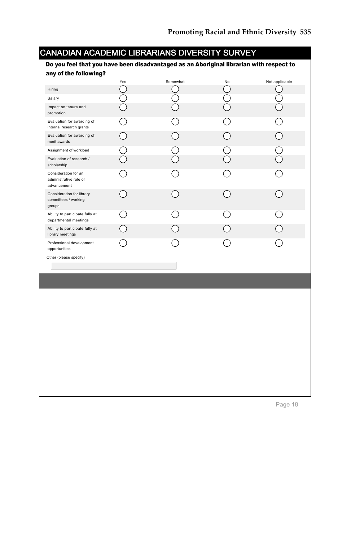| CANADIAN ACADEMIC LIBRARIANS DIVERSITY SURVEY                                           |                                                  |                                                 |                |                |
|-----------------------------------------------------------------------------------------|--------------------------------------------------|-------------------------------------------------|----------------|----------------|
| Do you feel that you have been disadvantaged as an Aboriginal librarian with respect to |                                                  |                                                 |                |                |
| any of the following?                                                                   | Yes                                              | Somewhat                                        | N <sub>o</sub> | Not applicable |
| Hiring                                                                                  | O                                                |                                                 | $\tilde{a}$    | $(\quad)$      |
| Salary                                                                                  | $\begin{smallmatrix} \searrow \end{smallmatrix}$ |                                                 | ◯              |                |
| Impact on tenure and<br>promotion                                                       |                                                  | $\overline{\phantom{1}}$                        |                |                |
| Evaluation for awarding of<br>internal research grants                                  | ำ                                                |                                                 |                |                |
| Evaluation for awarding of<br>merit awards                                              | ⌒                                                | ∩                                               | ⌒              | ∩              |
| Assignment of workload                                                                  |                                                  | - 1                                             |                |                |
| Evaluation of research /<br>scholarship                                                 | S                                                |                                                 |                |                |
| Consideration for an<br>administrative role or<br>advancement                           | $\rightarrow$                                    |                                                 |                |                |
| Consideration for library<br>committees / working<br>groups                             |                                                  |                                                 |                |                |
| Ability to participate fully at<br>departmental meetings                                | ( )                                              | $\left( \begin{array}{c} 1 \end{array} \right)$ |                |                |
| Ability to participate fully at<br>library meetings                                     | ่ )                                              |                                                 |                |                |
| Professional development<br>opportunities                                               |                                                  |                                                 |                |                |
| Other (please specify)                                                                  |                                                  |                                                 |                |                |
|                                                                                         |                                                  |                                                 |                |                |
|                                                                                         |                                                  |                                                 |                |                |
|                                                                                         |                                                  |                                                 |                |                |
|                                                                                         |                                                  |                                                 |                |                |
|                                                                                         |                                                  |                                                 |                |                |
|                                                                                         |                                                  |                                                 |                |                |
|                                                                                         |                                                  |                                                 |                |                |
|                                                                                         |                                                  |                                                 |                |                |
|                                                                                         |                                                  |                                                 |                |                |
|                                                                                         |                                                  |                                                 |                |                |
|                                                                                         |                                                  |                                                 |                |                |
|                                                                                         |                                                  |                                                 |                |                |
|                                                                                         |                                                  |                                                 |                |                |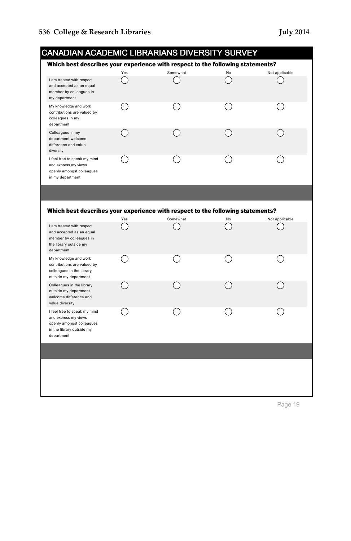| CANADIAN ACADEMIC LIBRARIANS DIVERSITY SURVEY                                                                                |     |          |    |                |
|------------------------------------------------------------------------------------------------------------------------------|-----|----------|----|----------------|
| Which best describes your experience with respect to the following statements?                                               |     |          |    |                |
| I am treated with respect<br>and accepted as an equal<br>member by colleagues in<br>my department                            | Yes | Somewhat | No | Not applicable |
| My knowledge and work<br>contributions are valued by<br>colleagues in my<br>department                                       |     |          |    |                |
| Colleagues in my<br>department welcome<br>difference and value<br>diversity                                                  |     |          |    |                |
| I feel free to speak my mind<br>and express my views<br>openly amongst colleagues<br>in my department                        |     |          |    |                |
|                                                                                                                              |     |          |    |                |
| Which best describes your experience with respect to the following statements?                                               | Yes | Somewhat | No | Not applicable |
| I am treated with respect<br>and accepted as an equal<br>member by colleagues in<br>the library outside my<br>department     |     |          |    |                |
| My knowledge and work<br>contributions are valued by<br>colleagues in the library<br>outside my department                   |     |          |    |                |
| Colleagues in the library<br>outside my department<br>welcome difference and<br>value diversity                              |     |          |    |                |
| I feel free to speak my mind<br>and express my views<br>openly amongst colleagues<br>in the library outside my<br>department |     |          |    |                |
|                                                                                                                              |     |          |    |                |
|                                                                                                                              |     |          |    |                |
|                                                                                                                              |     |          |    |                |
|                                                                                                                              |     |          |    |                |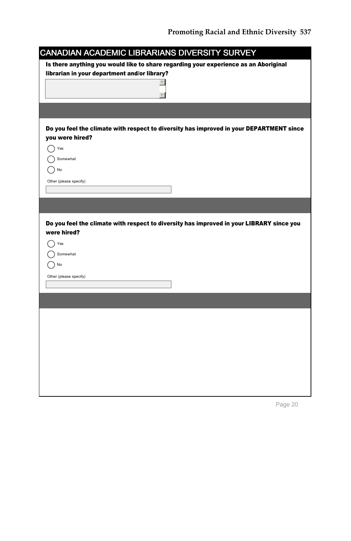| <b>CANADIAN ACADEMIC LIBRARIANS DIVERSITY SURVEY</b>                                     |
|------------------------------------------------------------------------------------------|
| Is there anything you would like to share regarding your experience as an Aboriginal     |
| librarian in your department and/or library?                                             |
|                                                                                          |
|                                                                                          |
|                                                                                          |
|                                                                                          |
| Do you feel the climate with respect to diversity has improved in your DEPARTMENT since  |
| you were hired?                                                                          |
| Yes                                                                                      |
| Somewhat                                                                                 |
| No                                                                                       |
| Other (please specify)                                                                   |
|                                                                                          |
|                                                                                          |
|                                                                                          |
|                                                                                          |
| Do you feel the climate with respect to diversity has improved in your LIBRARY since you |
| were hired?                                                                              |
| Yes                                                                                      |
| Somewhat                                                                                 |
| No                                                                                       |
| Other (please specify)                                                                   |
|                                                                                          |
|                                                                                          |
|                                                                                          |
|                                                                                          |
|                                                                                          |
|                                                                                          |
|                                                                                          |
|                                                                                          |
|                                                                                          |
|                                                                                          |
|                                                                                          |
|                                                                                          |
|                                                                                          |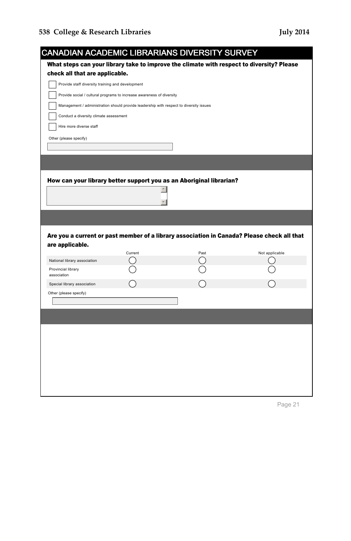| CANADIAN ACADEMIC LIBRARIANS DIVERSITY SURVEY                                          |         |                                                                                           |                                                                                            |
|----------------------------------------------------------------------------------------|---------|-------------------------------------------------------------------------------------------|--------------------------------------------------------------------------------------------|
|                                                                                        |         | What steps can your library take to improve the climate with respect to diversity? Please |                                                                                            |
| check all that are applicable.                                                         |         |                                                                                           |                                                                                            |
| Provide staff diversity training and development                                       |         |                                                                                           |                                                                                            |
| Provide social / cultural programs to increase awareness of diversity                  |         |                                                                                           |                                                                                            |
| Management / administration should provide leadership with respect to diversity issues |         |                                                                                           |                                                                                            |
| Conduct a diversity climate assessment                                                 |         |                                                                                           |                                                                                            |
| Hire more diverse staff                                                                |         |                                                                                           |                                                                                            |
| Other (please specify)                                                                 |         |                                                                                           |                                                                                            |
|                                                                                        |         |                                                                                           |                                                                                            |
|                                                                                        |         |                                                                                           |                                                                                            |
|                                                                                        |         |                                                                                           |                                                                                            |
|                                                                                        |         |                                                                                           |                                                                                            |
|                                                                                        |         | How can your library better support you as an Aboriginal librarian?                       |                                                                                            |
|                                                                                        |         |                                                                                           |                                                                                            |
|                                                                                        |         |                                                                                           |                                                                                            |
|                                                                                        |         |                                                                                           |                                                                                            |
|                                                                                        |         |                                                                                           |                                                                                            |
|                                                                                        |         |                                                                                           | Are you a current or past member of a library association in Canada? Please check all that |
| are applicable.                                                                        |         |                                                                                           |                                                                                            |
| National library association                                                           | Current | Past                                                                                      | Not applicable                                                                             |
| Provincial library                                                                     |         |                                                                                           |                                                                                            |
| association                                                                            |         |                                                                                           |                                                                                            |
| Special library association                                                            |         |                                                                                           |                                                                                            |
| Other (please specify)                                                                 |         |                                                                                           |                                                                                            |
|                                                                                        |         |                                                                                           |                                                                                            |
|                                                                                        |         |                                                                                           |                                                                                            |
|                                                                                        |         |                                                                                           |                                                                                            |
|                                                                                        |         |                                                                                           |                                                                                            |
|                                                                                        |         |                                                                                           |                                                                                            |
|                                                                                        |         |                                                                                           |                                                                                            |
|                                                                                        |         |                                                                                           |                                                                                            |
|                                                                                        |         |                                                                                           |                                                                                            |
|                                                                                        |         |                                                                                           |                                                                                            |
|                                                                                        |         |                                                                                           |                                                                                            |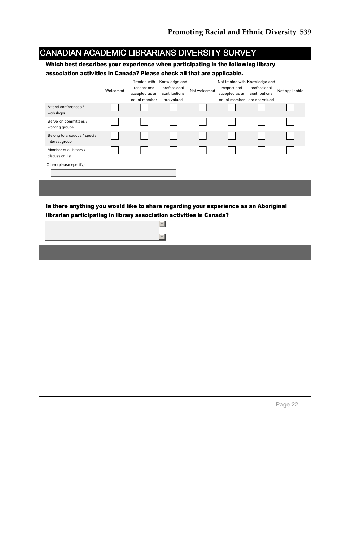| CANADIAN ACADEMIC LIBRARIANS DIVERSITY SURVEY                                                                                                                |          |                               |                               |              |                                             |              |                |
|--------------------------------------------------------------------------------------------------------------------------------------------------------------|----------|-------------------------------|-------------------------------|--------------|---------------------------------------------|--------------|----------------|
| Which best describes your experience when participating in the following library                                                                             |          |                               |                               |              |                                             |              |                |
| association activities in Canada? Please check all that are applicable.                                                                                      |          |                               |                               |              |                                             |              |                |
|                                                                                                                                                              |          |                               | Treated with Knowledge and    |              | Not treated with Knowledge and              |              |                |
|                                                                                                                                                              | Welcomed | respect and<br>accepted as an | professional<br>contributions | Not welcomed | respect and<br>accepted as an contributions | professional | Not applicable |
|                                                                                                                                                              |          | equal member                  | are valued                    |              | equal member are not valued                 |              |                |
| Attend conferences /<br>workshops                                                                                                                            |          |                               |                               |              |                                             |              |                |
| Serve on committees /<br>working groups                                                                                                                      |          |                               |                               |              |                                             |              |                |
| Belong to a caucus / special<br>interest group                                                                                                               |          |                               |                               |              |                                             |              |                |
| Member of a listserv /<br>discussion list                                                                                                                    |          |                               |                               |              |                                             |              |                |
| Other (please specify)                                                                                                                                       |          |                               |                               |              |                                             |              |                |
|                                                                                                                                                              |          |                               |                               |              |                                             |              |                |
|                                                                                                                                                              |          |                               |                               |              |                                             |              |                |
|                                                                                                                                                              |          |                               |                               |              |                                             |              |                |
|                                                                                                                                                              |          |                               |                               |              |                                             |              |                |
|                                                                                                                                                              |          |                               |                               |              |                                             |              |                |
|                                                                                                                                                              |          |                               |                               |              |                                             |              |                |
| Is there anything you would like to share regarding your experience as an Aboriginal<br>librarian participating in library association activities in Canada? |          |                               |                               |              |                                             |              |                |
|                                                                                                                                                              |          |                               |                               |              |                                             |              |                |
|                                                                                                                                                              |          |                               |                               |              |                                             |              |                |
|                                                                                                                                                              |          |                               |                               |              |                                             |              |                |
|                                                                                                                                                              |          |                               |                               |              |                                             |              |                |
|                                                                                                                                                              |          |                               |                               |              |                                             |              |                |
|                                                                                                                                                              |          |                               |                               |              |                                             |              |                |
|                                                                                                                                                              |          |                               |                               |              |                                             |              |                |
|                                                                                                                                                              |          |                               |                               |              |                                             |              |                |
|                                                                                                                                                              |          |                               |                               |              |                                             |              |                |
|                                                                                                                                                              |          |                               |                               |              |                                             |              |                |
|                                                                                                                                                              |          |                               |                               |              |                                             |              |                |
|                                                                                                                                                              |          |                               |                               |              |                                             |              |                |
|                                                                                                                                                              |          |                               |                               |              |                                             |              |                |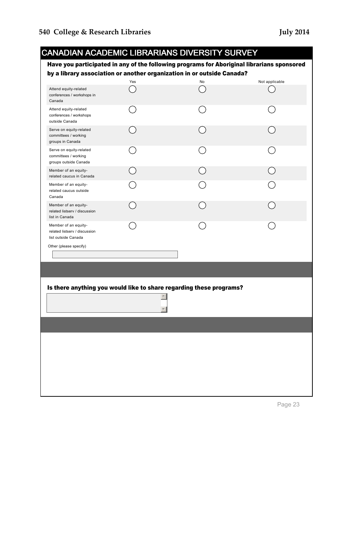| by a library association or another organization in or outside Canada?<br>Yes<br>$\blacktriangle$                                                                                                                                                                                                                    |    | Have you participated in any of the following programs for Aboriginal librarians sponsored |
|----------------------------------------------------------------------------------------------------------------------------------------------------------------------------------------------------------------------------------------------------------------------------------------------------------------------|----|--------------------------------------------------------------------------------------------|
| Attend equity-related<br>conferences / workshops in<br>Canada                                                                                                                                                                                                                                                        | No | Not applicable                                                                             |
| Attend equity-related<br>conferences / workshops<br>outside Canada<br>Serve on equity-related<br>committees / working<br>groups in Canada                                                                                                                                                                            |    |                                                                                            |
|                                                                                                                                                                                                                                                                                                                      |    |                                                                                            |
| Serve on equity-related<br>committees / working<br>groups outside Canada<br>Member of an equity-<br>related caucus in Canada                                                                                                                                                                                         |    |                                                                                            |
|                                                                                                                                                                                                                                                                                                                      |    |                                                                                            |
| Member of an equity-<br>related caucus outside<br>Canada<br>Member of an equity-<br>related listserv / discussion<br>list in Canada<br>Member of an equity-<br>related listserv / discussion<br>list outside Canada<br>Other (please specify)<br>Is there anything you would like to share regarding these programs? |    |                                                                                            |
|                                                                                                                                                                                                                                                                                                                      |    |                                                                                            |
|                                                                                                                                                                                                                                                                                                                      |    |                                                                                            |
|                                                                                                                                                                                                                                                                                                                      |    |                                                                                            |
|                                                                                                                                                                                                                                                                                                                      |    |                                                                                            |
|                                                                                                                                                                                                                                                                                                                      |    |                                                                                            |
|                                                                                                                                                                                                                                                                                                                      |    |                                                                                            |
|                                                                                                                                                                                                                                                                                                                      |    |                                                                                            |
|                                                                                                                                                                                                                                                                                                                      |    |                                                                                            |
|                                                                                                                                                                                                                                                                                                                      |    |                                                                                            |
|                                                                                                                                                                                                                                                                                                                      |    |                                                                                            |
|                                                                                                                                                                                                                                                                                                                      |    |                                                                                            |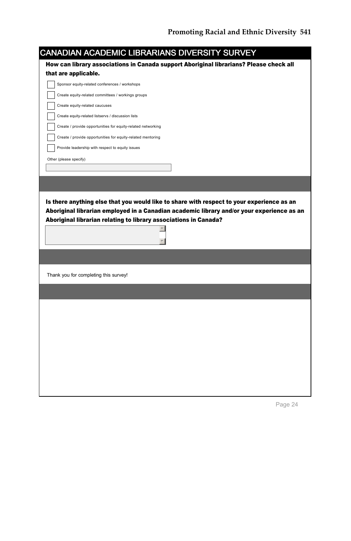| <b>CANADIAN ACADEMIC LIBRARIANS DIVERSITY SURVEY</b>                                                      |                                                                                                                                                                                        |
|-----------------------------------------------------------------------------------------------------------|----------------------------------------------------------------------------------------------------------------------------------------------------------------------------------------|
|                                                                                                           | How can library associations in Canada support Aboriginal librarians? Please check all                                                                                                 |
| that are applicable.                                                                                      |                                                                                                                                                                                        |
| Sponsor equity-related conferences / workshops                                                            |                                                                                                                                                                                        |
| Create equity-related committees / workings groups                                                        |                                                                                                                                                                                        |
| Create equity-related caucuses                                                                            |                                                                                                                                                                                        |
| Create equity-related listservs / discussion lists                                                        |                                                                                                                                                                                        |
| Create / provide opportunities for equity-related networking                                              |                                                                                                                                                                                        |
| Create / provide opportunities for equity-related mentoring                                               |                                                                                                                                                                                        |
| Provide leadership with respect to equity issues                                                          |                                                                                                                                                                                        |
| Other (please specify)                                                                                    |                                                                                                                                                                                        |
|                                                                                                           |                                                                                                                                                                                        |
|                                                                                                           |                                                                                                                                                                                        |
|                                                                                                           | Is there anything else that you would like to share with respect to your experience as an<br>Aboriginal librarian employed in a Canadian academic library and/or your experience as an |
|                                                                                                           |                                                                                                                                                                                        |
|                                                                                                           |                                                                                                                                                                                        |
|                                                                                                           |                                                                                                                                                                                        |
|                                                                                                           |                                                                                                                                                                                        |
|                                                                                                           |                                                                                                                                                                                        |
|                                                                                                           |                                                                                                                                                                                        |
|                                                                                                           |                                                                                                                                                                                        |
|                                                                                                           |                                                                                                                                                                                        |
| Aboriginal librarian relating to library associations in Canada?<br>Thank you for completing this survey! |                                                                                                                                                                                        |
|                                                                                                           |                                                                                                                                                                                        |
|                                                                                                           |                                                                                                                                                                                        |
|                                                                                                           |                                                                                                                                                                                        |
|                                                                                                           |                                                                                                                                                                                        |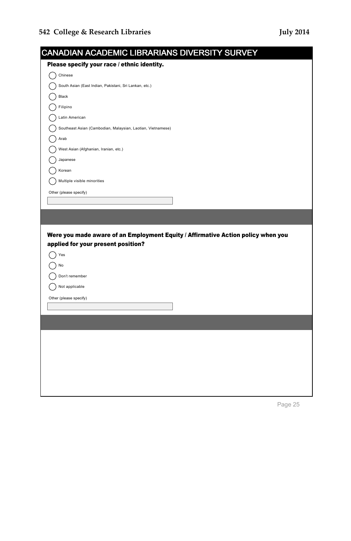| <b>CANADIAN ACADEMIC LIBRARIANS DIVERSITY SURVEY</b>                             |  |
|----------------------------------------------------------------------------------|--|
| Please specify your race / ethnic identity.                                      |  |
| Chinese                                                                          |  |
| South Asian (East Indian, Pakistani, Sri Lankan, etc.)                           |  |
| Black                                                                            |  |
| Filipino                                                                         |  |
| Latin American                                                                   |  |
| Southeast Asian (Cambodian, Malaysian, Laotian, Vietnamese)                      |  |
| Arab                                                                             |  |
| West Asian (Afghanian, Iranian, etc.)                                            |  |
| Japanese                                                                         |  |
| Korean                                                                           |  |
| Multiple visible minorities                                                      |  |
| Other (please specify)                                                           |  |
|                                                                                  |  |
|                                                                                  |  |
|                                                                                  |  |
|                                                                                  |  |
| Were you made aware of an Employment Equity / Affirmative Action policy when you |  |
| applied for your present position?                                               |  |
| Yes                                                                              |  |
| No                                                                               |  |
| Don't remember                                                                   |  |
| Not applicable                                                                   |  |
| Other (please specify)                                                           |  |
|                                                                                  |  |
|                                                                                  |  |
|                                                                                  |  |
|                                                                                  |  |
|                                                                                  |  |
|                                                                                  |  |
|                                                                                  |  |
|                                                                                  |  |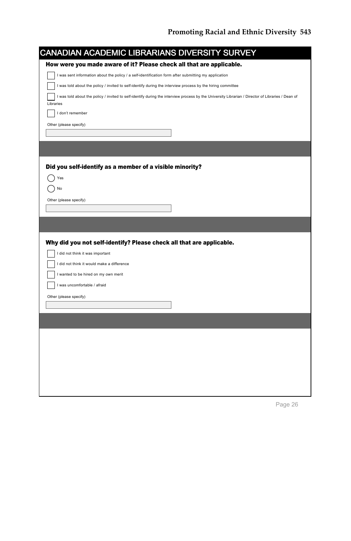|           | CANADIAN ACADEMIC LIBRARIANS DIVERSITY SURVEY                                                                                                     |
|-----------|---------------------------------------------------------------------------------------------------------------------------------------------------|
|           | How were you made aware of it? Please check all that are applicable.                                                                              |
|           | I was sent information about the policy / a self-identification form after submitting my application                                              |
|           | I was told about the policy / invited to self-identify during the interview process by the hiring committee                                       |
|           | I was told about the policy / invited to self-identify during the interview process by the University Librarian / Director of Libraries / Dean of |
| Libraries |                                                                                                                                                   |
|           | I don't remember                                                                                                                                  |
|           | Other (please specify)                                                                                                                            |
|           |                                                                                                                                                   |
|           |                                                                                                                                                   |
|           |                                                                                                                                                   |
|           | Did you self-identify as a member of a visible minority?                                                                                          |
|           | Yes                                                                                                                                               |
|           | No                                                                                                                                                |
|           | Other (please specify)                                                                                                                            |
|           |                                                                                                                                                   |
|           |                                                                                                                                                   |
|           |                                                                                                                                                   |
|           | Why did you not self-identify? Please check all that are applicable.                                                                              |
|           | I did not think it was important                                                                                                                  |
|           | I did not think it would make a difference                                                                                                        |
|           | I wanted to be hired on my own merit                                                                                                              |
|           | I was uncomfortable / afraid                                                                                                                      |
|           | Other (please specify)                                                                                                                            |
|           |                                                                                                                                                   |
|           |                                                                                                                                                   |
|           |                                                                                                                                                   |
|           |                                                                                                                                                   |
|           |                                                                                                                                                   |
|           |                                                                                                                                                   |
|           |                                                                                                                                                   |
|           |                                                                                                                                                   |
|           |                                                                                                                                                   |
|           |                                                                                                                                                   |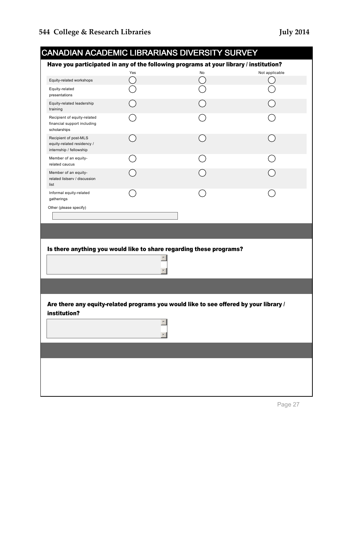| Have you participated in any of the following programs at your library / institution? | Yes              | No                                                                                    | Not applicable |
|---------------------------------------------------------------------------------------|------------------|---------------------------------------------------------------------------------------|----------------|
| Equity-related workshops                                                              | $(\quad)$        |                                                                                       |                |
| Equity-related<br>presentations                                                       |                  |                                                                                       |                |
| Equity-related leadership<br>training                                                 |                  |                                                                                       |                |
| Recipient of equity-related<br>financial support including<br>scholarships            |                  |                                                                                       |                |
| Recipient of post-MLS<br>equity-related residency /<br>internship / fellowship        |                  |                                                                                       |                |
| Member of an equity-<br>related caucus                                                |                  |                                                                                       |                |
| Member of an equity-<br>related listserv / discussion<br>list                         |                  |                                                                                       |                |
| Informal equity-related<br>gatherings                                                 |                  |                                                                                       |                |
| Other (please specify)                                                                |                  |                                                                                       |                |
|                                                                                       |                  | Is there anything you would like to share regarding these programs?                   |                |
|                                                                                       |                  |                                                                                       |                |
|                                                                                       |                  |                                                                                       |                |
|                                                                                       |                  | Are there any equity-related programs you would like to see offered by your library / |                |
| institution?                                                                          | $\blacktriangle$ |                                                                                       |                |
|                                                                                       |                  |                                                                                       |                |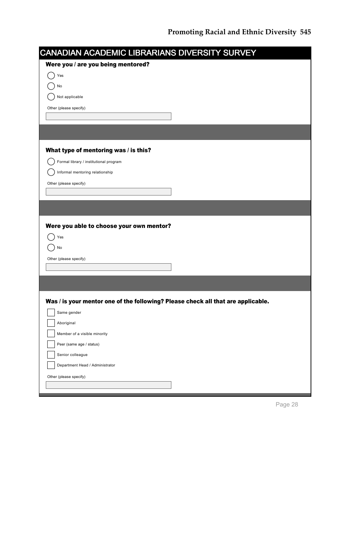| CANADIAN ACADEMIC LIBRARIANS DIVERSITY SURVEY                                    |  |
|----------------------------------------------------------------------------------|--|
| Were you / are you being mentored?                                               |  |
| Yes                                                                              |  |
| No                                                                               |  |
| Not applicable                                                                   |  |
| Other (please specify)                                                           |  |
|                                                                                  |  |
|                                                                                  |  |
| What type of mentoring was / is this?                                            |  |
| Formal library / institutional program                                           |  |
| Informal mentoring relationship                                                  |  |
| Other (please specify)                                                           |  |
|                                                                                  |  |
|                                                                                  |  |
|                                                                                  |  |
| Were you able to choose your own mentor?                                         |  |
| Yes                                                                              |  |
| No                                                                               |  |
| Other (please specify)                                                           |  |
|                                                                                  |  |
|                                                                                  |  |
|                                                                                  |  |
| Was / is your mentor one of the following? Please check all that are applicable. |  |
| Same gender                                                                      |  |
| Aboriginal                                                                       |  |
| Member of a visible minority                                                     |  |
| Peer (same age / status)                                                         |  |
| Senior colleague                                                                 |  |
| Department Head / Administrator                                                  |  |
| Other (please specify)                                                           |  |
|                                                                                  |  |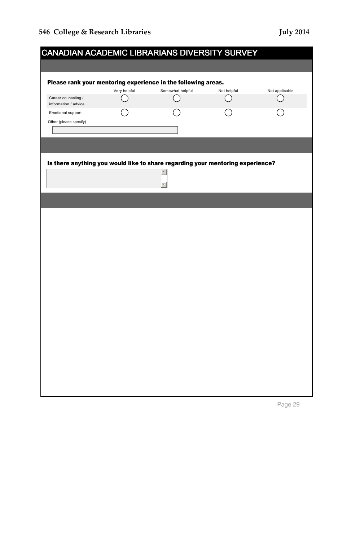|                                             |              | <b>CANADIAN ACADEMIC LIBRARIANS DIVERSITY SURVEY</b>                                               |             |                |
|---------------------------------------------|--------------|----------------------------------------------------------------------------------------------------|-------------|----------------|
|                                             |              |                                                                                                    |             |                |
|                                             |              | Please rank your mentoring experience in the following areas.                                      |             |                |
|                                             | Very helpful | Somewhat helpful                                                                                   | Not helpful | Not applicable |
| Career counseling /<br>information / advice |              | $\ddot{\phantom{1}}$                                                                               |             |                |
| Emotional support                           |              |                                                                                                    |             |                |
| Other (please specify)                      |              |                                                                                                    |             |                |
|                                             |              |                                                                                                    |             |                |
|                                             |              |                                                                                                    |             |                |
|                                             |              |                                                                                                    |             |                |
|                                             |              | Is there anything you would like to share regarding your mentoring experience?<br>$\blacktriangle$ |             |                |
|                                             |              |                                                                                                    |             |                |
|                                             |              |                                                                                                    |             |                |
|                                             |              |                                                                                                    |             |                |
|                                             |              |                                                                                                    |             |                |
|                                             |              |                                                                                                    |             |                |
|                                             |              |                                                                                                    |             |                |
|                                             |              |                                                                                                    |             |                |
|                                             |              |                                                                                                    |             |                |
|                                             |              |                                                                                                    |             |                |
|                                             |              |                                                                                                    |             |                |
|                                             |              |                                                                                                    |             |                |
|                                             |              |                                                                                                    |             |                |
|                                             |              |                                                                                                    |             |                |
|                                             |              |                                                                                                    |             |                |
|                                             |              |                                                                                                    |             |                |
|                                             |              |                                                                                                    |             |                |
|                                             |              |                                                                                                    |             |                |
|                                             |              |                                                                                                    |             |                |
|                                             |              |                                                                                                    |             |                |
|                                             |              |                                                                                                    |             |                |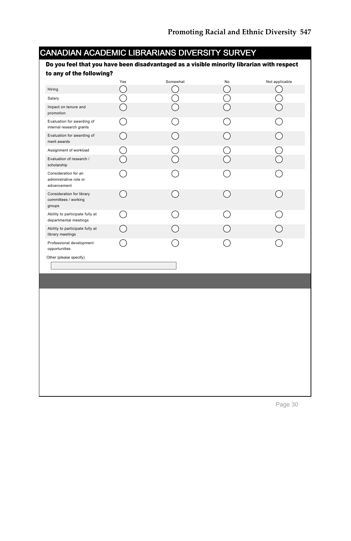| to any of the following?                                      | Yes        | Somewhat                                        | No                                              | Not applicable |
|---------------------------------------------------------------|------------|-------------------------------------------------|-------------------------------------------------|----------------|
| Hiring                                                        | ( )        | - 1                                             | ()                                              | $\mathcal{L}$  |
| Salary                                                        | $\bigcirc$ | C                                               | $\bigcirc$                                      |                |
| Impact on tenure and<br>promotion                             |            |                                                 |                                                 |                |
| Evaluation for awarding of<br>internal research grants        | ∩          | $\hat{ }$ )                                     | ∩                                               |                |
| Evaluation for awarding of<br>merit awards                    | $\bigcirc$ | ∩                                               | $\bigcirc$                                      | ◯              |
| Assignment of workload                                        | $\bigcirc$ | $\frac{1}{2}$                                   | )<br>()                                         |                |
| Evaluation of research /<br>scholarship                       |            |                                                 |                                                 |                |
| Consideration for an<br>administrative role or<br>advancement |            |                                                 |                                                 |                |
| Consideration for library<br>committees / working<br>groups   | $( \ )$    | )                                               | $( \ )$                                         | $\mathcal{L}$  |
| Ability to participate fully at<br>departmental meetings      |            | $\left( \begin{array}{c} 1 \end{array} \right)$ | $\left( \begin{array}{c} 1 \end{array} \right)$ |                |
| Ability to participate fully at<br>library meetings           | ∩          |                                                 |                                                 |                |
| Professional development<br>opportunities                     | ( )        |                                                 |                                                 |                |
| Other (please specify)                                        |            |                                                 |                                                 |                |
|                                                               |            |                                                 |                                                 |                |
|                                                               |            |                                                 |                                                 |                |
|                                                               |            |                                                 |                                                 |                |
|                                                               |            |                                                 |                                                 |                |
|                                                               |            |                                                 |                                                 |                |
|                                                               |            |                                                 |                                                 |                |
|                                                               |            |                                                 |                                                 |                |
|                                                               |            |                                                 |                                                 |                |
|                                                               |            |                                                 |                                                 |                |
|                                                               |            |                                                 |                                                 |                |
|                                                               |            |                                                 |                                                 |                |
|                                                               |            |                                                 |                                                 |                |
|                                                               |            |                                                 |                                                 |                |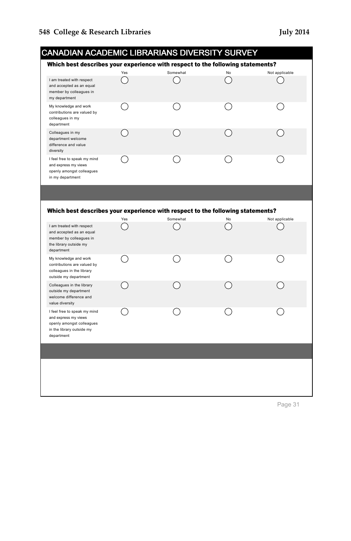|                 |                                                                                                                |     |          | <b>CANADIAN ACADEMIC LIBRARIANS DIVERSITY SURVEY</b>                                 |                |
|-----------------|----------------------------------------------------------------------------------------------------------------|-----|----------|--------------------------------------------------------------------------------------|----------------|
|                 |                                                                                                                |     |          | Which best describes your experience with respect to the following statements?       |                |
|                 |                                                                                                                | Yes | Somewhat | No                                                                                   | Not applicable |
| my department   | I am treated with respect<br>and accepted as an equal<br>member by colleagues in                               |     |          |                                                                                      |                |
| department      | My knowledge and work<br>contributions are valued by<br>colleagues in my                                       |     |          |                                                                                      |                |
| diversity       | Colleagues in my<br>department welcome<br>difference and value                                                 |     |          |                                                                                      |                |
|                 | I feel free to speak my mind<br>and express my views<br>openly amongst colleagues<br>in my department          |     |          |                                                                                      |                |
|                 |                                                                                                                |     |          |                                                                                      |                |
|                 |                                                                                                                | Yes | Somewhat | Which best describes your experience with respect to the following statements?<br>No | Not applicable |
| department      | I am treated with respect<br>and accepted as an equal<br>member by colleagues in<br>the library outside my     |     |          |                                                                                      |                |
|                 | My knowledge and work<br>contributions are valued by<br>colleagues in the library<br>outside my department     |     |          |                                                                                      |                |
| value diversity | Colleagues in the library<br>outside my department<br>welcome difference and                                   |     |          |                                                                                      |                |
| department      | I feel free to speak my mind<br>and express my views<br>openly amongst colleagues<br>in the library outside my |     |          |                                                                                      |                |
|                 |                                                                                                                |     |          |                                                                                      |                |
|                 |                                                                                                                |     |          |                                                                                      |                |
|                 |                                                                                                                |     |          |                                                                                      |                |
|                 |                                                                                                                |     |          |                                                                                      |                |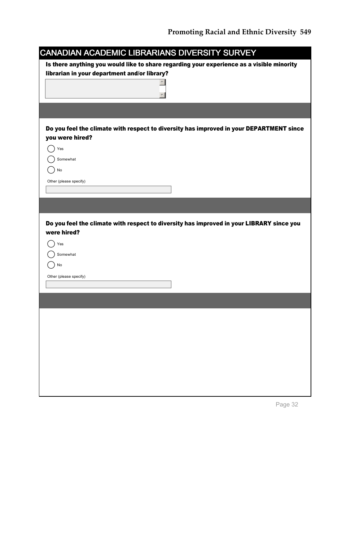|                                              | CANADIAN ACADEMIC LIBRARIANS DIVERSITY SURVEY                                             |
|----------------------------------------------|-------------------------------------------------------------------------------------------|
|                                              | Is there anything you would like to share regarding your experience as a visible minority |
| librarian in your department and/or library? |                                                                                           |
|                                              |                                                                                           |
|                                              |                                                                                           |
|                                              |                                                                                           |
|                                              |                                                                                           |
|                                              | Do you feel the climate with respect to diversity has improved in your DEPARTMENT since   |
| you were hired?                              |                                                                                           |
| Yes                                          |                                                                                           |
| Somewhat                                     |                                                                                           |
| No                                           |                                                                                           |
| Other (please specify)                       |                                                                                           |
|                                              |                                                                                           |
|                                              |                                                                                           |
|                                              |                                                                                           |
|                                              | Do you feel the climate with respect to diversity has improved in your LIBRARY since you  |
| were hired?                                  |                                                                                           |
| Yes                                          |                                                                                           |
| Somewhat                                     |                                                                                           |
| No                                           |                                                                                           |
| Other (please specify)                       |                                                                                           |
|                                              |                                                                                           |
|                                              |                                                                                           |
|                                              |                                                                                           |
|                                              |                                                                                           |
|                                              |                                                                                           |
|                                              |                                                                                           |
|                                              |                                                                                           |
|                                              |                                                                                           |
|                                              |                                                                                           |
|                                              |                                                                                           |
|                                              |                                                                                           |
|                                              |                                                                                           |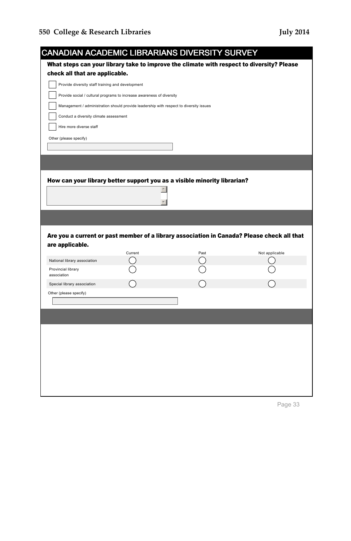| <b>CANADIAN ACADEMIC LIBRARIANS DIVERSITY SURVEY</b>                                   |         |                                                                                           |                                                                                            |
|----------------------------------------------------------------------------------------|---------|-------------------------------------------------------------------------------------------|--------------------------------------------------------------------------------------------|
|                                                                                        |         | What steps can your library take to improve the climate with respect to diversity? Please |                                                                                            |
| check all that are applicable.                                                         |         |                                                                                           |                                                                                            |
| Provide diversity staff training and development                                       |         |                                                                                           |                                                                                            |
| Provide social / cultural programs to increase awareness of diversity                  |         |                                                                                           |                                                                                            |
| Management / administration should provide leadership with respect to diversity issues |         |                                                                                           |                                                                                            |
| Conduct a diversity climate assessment                                                 |         |                                                                                           |                                                                                            |
| Hire more diverse staff                                                                |         |                                                                                           |                                                                                            |
| Other (please specify)                                                                 |         |                                                                                           |                                                                                            |
|                                                                                        |         |                                                                                           |                                                                                            |
|                                                                                        |         |                                                                                           |                                                                                            |
|                                                                                        |         |                                                                                           |                                                                                            |
|                                                                                        |         | How can your library better support you as a visible minority librarian?                  |                                                                                            |
|                                                                                        |         |                                                                                           |                                                                                            |
|                                                                                        |         |                                                                                           |                                                                                            |
|                                                                                        |         |                                                                                           |                                                                                            |
|                                                                                        |         |                                                                                           |                                                                                            |
|                                                                                        |         |                                                                                           | Are you a current or past member of a library association in Canada? Please check all that |
| are applicable.                                                                        | Current | Past                                                                                      | Not applicable                                                                             |
| National library association                                                           |         |                                                                                           |                                                                                            |
| Provincial library<br>association                                                      |         |                                                                                           |                                                                                            |
| Special library association                                                            |         |                                                                                           |                                                                                            |
| Other (please specify)                                                                 |         |                                                                                           |                                                                                            |
|                                                                                        |         |                                                                                           |                                                                                            |
|                                                                                        |         |                                                                                           |                                                                                            |
|                                                                                        |         |                                                                                           |                                                                                            |
|                                                                                        |         |                                                                                           |                                                                                            |
|                                                                                        |         |                                                                                           |                                                                                            |
|                                                                                        |         |                                                                                           |                                                                                            |
|                                                                                        |         |                                                                                           |                                                                                            |
|                                                                                        |         |                                                                                           |                                                                                            |
|                                                                                        |         |                                                                                           |                                                                                            |
|                                                                                        |         |                                                                                           |                                                                                            |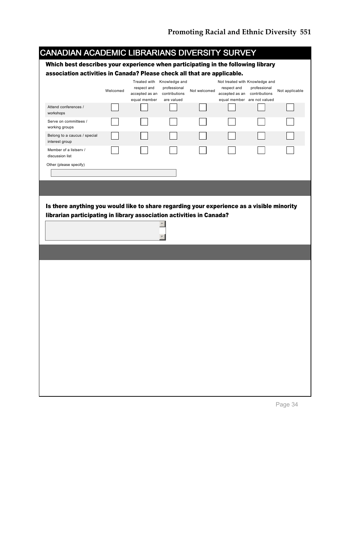| Which best describes your experience when participating in the following library                                                                                  |          |                               |                               |              |                                             |              |                |
|-------------------------------------------------------------------------------------------------------------------------------------------------------------------|----------|-------------------------------|-------------------------------|--------------|---------------------------------------------|--------------|----------------|
| association activities in Canada? Please check all that are applicable.                                                                                           |          |                               |                               |              |                                             |              |                |
|                                                                                                                                                                   |          |                               | Treated with Knowledge and    |              | Not treated with Knowledge and              |              |                |
|                                                                                                                                                                   | Welcomed | respect and<br>accepted as an | professional<br>contributions | Not welcomed | respect and<br>accepted as an contributions | professional | Not applicable |
|                                                                                                                                                                   |          | equal member                  | are valued                    |              | equal member are not valued                 |              |                |
| Attend conferences /<br>workshops                                                                                                                                 |          |                               |                               |              |                                             |              |                |
| Serve on committees /<br>working groups                                                                                                                           |          |                               |                               |              |                                             |              |                |
| Belong to a caucus / special<br>interest group                                                                                                                    |          |                               |                               |              |                                             |              |                |
| Member of a listserv /<br>discussion list                                                                                                                         |          |                               |                               |              |                                             |              |                |
| Other (please specify)                                                                                                                                            |          |                               |                               |              |                                             |              |                |
|                                                                                                                                                                   |          |                               |                               |              |                                             |              |                |
|                                                                                                                                                                   |          |                               |                               |              |                                             |              |                |
|                                                                                                                                                                   |          |                               |                               |              |                                             |              |                |
|                                                                                                                                                                   |          |                               | $\blacktriangle$              |              |                                             |              |                |
|                                                                                                                                                                   |          |                               | $\overline{\phantom{a}}$      |              |                                             |              |                |
|                                                                                                                                                                   |          |                               |                               |              |                                             |              |                |
|                                                                                                                                                                   |          |                               |                               |              |                                             |              |                |
|                                                                                                                                                                   |          |                               |                               |              |                                             |              |                |
|                                                                                                                                                                   |          |                               |                               |              |                                             |              |                |
|                                                                                                                                                                   |          |                               |                               |              |                                             |              |                |
|                                                                                                                                                                   |          |                               |                               |              |                                             |              |                |
|                                                                                                                                                                   |          |                               |                               |              |                                             |              |                |
| Is there anything you would like to share regarding your experience as a visible minority<br>librarian participating in library association activities in Canada? |          |                               |                               |              |                                             |              |                |
|                                                                                                                                                                   |          |                               |                               |              |                                             |              |                |
|                                                                                                                                                                   |          |                               |                               |              |                                             |              |                |
|                                                                                                                                                                   |          |                               |                               |              |                                             |              |                |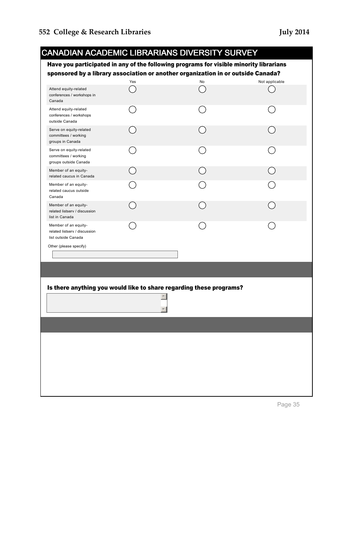| <b>CANADIAN ACADEMIC LIBRARIANS DIVERSITY SURVEY</b><br>Have you participated in any of the following programs for visible minority librarians<br>sponsored by a library association or another organization in or outside Canada? |                  |                                                                     |                |  |  |
|------------------------------------------------------------------------------------------------------------------------------------------------------------------------------------------------------------------------------------|------------------|---------------------------------------------------------------------|----------------|--|--|
|                                                                                                                                                                                                                                    | Yes              | No                                                                  | Not applicable |  |  |
| Attend equity-related<br>conferences / workshops in<br>Canada                                                                                                                                                                      |                  |                                                                     |                |  |  |
| Attend equity-related<br>conferences / workshops<br>outside Canada                                                                                                                                                                 | - 1              |                                                                     |                |  |  |
| Serve on equity-related<br>committees / working<br>groups in Canada                                                                                                                                                                |                  |                                                                     |                |  |  |
| Serve on equity-related<br>committees / working<br>groups outside Canada                                                                                                                                                           |                  |                                                                     |                |  |  |
| Member of an equity-<br>related caucus in Canada                                                                                                                                                                                   |                  |                                                                     |                |  |  |
| Member of an equity-<br>related caucus outside<br>Canada                                                                                                                                                                           |                  |                                                                     |                |  |  |
| Member of an equity-<br>related listserv / discussion<br>list in Canada                                                                                                                                                            |                  |                                                                     |                |  |  |
| Member of an equity-<br>related listserv / discussion<br>list outside Canada                                                                                                                                                       |                  |                                                                     |                |  |  |
| Other (please specify)                                                                                                                                                                                                             |                  |                                                                     |                |  |  |
|                                                                                                                                                                                                                                    |                  |                                                                     |                |  |  |
|                                                                                                                                                                                                                                    |                  |                                                                     |                |  |  |
|                                                                                                                                                                                                                                    | $\blacktriangle$ | Is there anything you would like to share regarding these programs? |                |  |  |
|                                                                                                                                                                                                                                    |                  |                                                                     |                |  |  |
|                                                                                                                                                                                                                                    |                  |                                                                     |                |  |  |
|                                                                                                                                                                                                                                    |                  |                                                                     |                |  |  |
|                                                                                                                                                                                                                                    |                  |                                                                     |                |  |  |
|                                                                                                                                                                                                                                    |                  |                                                                     |                |  |  |
|                                                                                                                                                                                                                                    |                  |                                                                     |                |  |  |
|                                                                                                                                                                                                                                    |                  |                                                                     |                |  |  |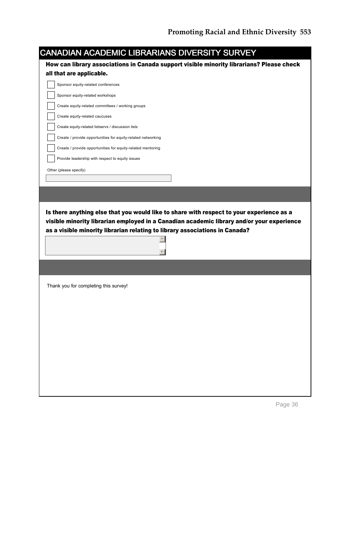|                                                    | CANADIAN ACADEMIC LIBRARIANS DIVERSITY SURVEY                                                                                                                            |  |
|----------------------------------------------------|--------------------------------------------------------------------------------------------------------------------------------------------------------------------------|--|
|                                                    | How can library associations in Canada support visible minority librarians? Please check                                                                                 |  |
| all that are applicable.                           |                                                                                                                                                                          |  |
| Sponsor equity-related conferences                 |                                                                                                                                                                          |  |
| Sponsor equity-related workshops                   |                                                                                                                                                                          |  |
| Create equity-related committees / working groups  |                                                                                                                                                                          |  |
| Create equity-related caucuses                     |                                                                                                                                                                          |  |
| Create equity-related listservs / discussion lists |                                                                                                                                                                          |  |
|                                                    | Create / provide opportunities for equity-related networking                                                                                                             |  |
|                                                    | Create / provide opportunities for equity-related mentoring                                                                                                              |  |
| Provide leadership with respect to equity issues   |                                                                                                                                                                          |  |
| Other (please specify)                             |                                                                                                                                                                          |  |
|                                                    |                                                                                                                                                                          |  |
|                                                    |                                                                                                                                                                          |  |
|                                                    |                                                                                                                                                                          |  |
|                                                    | Is there anything else that you would like to share with respect to your experience as a                                                                                 |  |
|                                                    | visible minority librarian employed in a Canadian academic library and/or your experience<br>as a visible minority librarian relating to library associations in Canada? |  |
|                                                    |                                                                                                                                                                          |  |
| Thank you for completing this survey!              |                                                                                                                                                                          |  |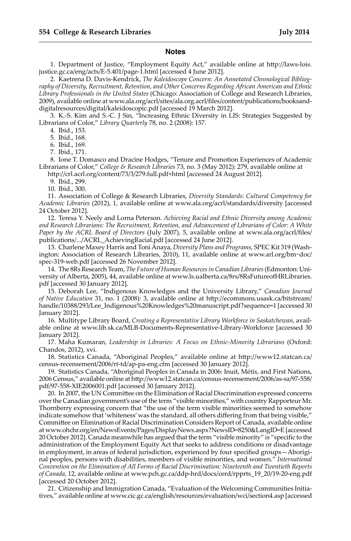#### **Notes**

 1. Department of Justice, "Employment Equity Act," available online at http://laws-lois. justice.gc.ca/eng/acts/E-5.401/page-1.html [accessed 4 June 2012].

 2. Kaetrena D. Davis-Kendrick, *The Kaleidoscope Concern: An Annotated Chronological Bibliography of Diversity, Recruitment, Retention, and Other Concerns Regarding African American and Ethnic Library Professionals in the United States* (Chicago: Association of College and Research Libraries, 2009), available online at www.ala.org/acrl/sites/ala.org.acrl/files/content/publications/booksanddigitalresources/digital/kaleidoscopic.pdf [accessed 19 March 2012].

 3. K.-S. Kim and S.-C. J Sin, "Increasing Ethnic Diversity in LIS: Strategies Suggested by Librarians of Color," *Library Quarterly* 78, no. 2 (2008): 157.

4. Ibid., 153.

5. Ibid., 168.

6. Ibid., 169.

7. Ibid., 171.

 8. Ione T. Domasco and Dracine Hodges, "Tenure and Promotion Experiences of Academic Librarians of Color," *College & Research Libraries* 73, no. 3 (May 2012): 279, available online at http://crl.acrl.org/content/73/3/279.full.pdf+html [accessed 24 August 2012].

 9. Ibid., 299. 10. Ibid., 300.

11. Association of College & Research Libraries, *Diversity Standards: Cultural Competency for Academic Libraries* (2012), 1, available online at www.ala.org/acrl/standards/diversity [accessed 24 October 2012].

 12. Teresa Y. Neely and Lorna Peterson. *Achieving Racial and Ethnic Diversity among Academic and Research Librarians: The Recruitment, Retention, and Advancement of Librarians of Color: A White Paper by the ACRL Board of Directors* (July 2007), 5, available online at www.ala.org/acrl/files/ publications/.../ACRL\_AchievingRacial.pdf [accessed 24 June 2012].

 13. Charlene Maxey Harris and Toni Anaya, *Diversity Plans and Programs*, SPEC Kit 319 (Washington: Association of Research Libraries, 2010), 11, available online at www.arl.org/bm~doc/ spec-319-web.pdf [accessed 26 November 2012].

 14. The 8Rs Research Team, *The Future of Human Resources in Canadian Libraries* (Edmonton: University of Alberta, 2005), 44, available online at www.ls.ualberta.ca/8rs/8RsFutureofHRLibraries. pdf [accessed 30 January 2012].

 15. Deborah Lee, "Indigenous Knowledges and the University Library," *Canadian Journal of Native Education* 31, no. 1 (2008): 3, available online at http://ecommons.usask.ca/bitstream/ handle/10388/293/Lee\_Indigenous%20Knowledges%20manuscript.pdf?sequence=1 [accessed 30 January 2012].

 16. Multitype Library Board, *Creating a Representative Library Workforce in Saskatchewan*, available online at www.lib.sk.ca/MLB-Documents-Representative-Library-Workforce [accessed 30 January 2012].

17. Maha Kumaran, *Leadership in Libraries: A Focus on Ethnic-Minority Librarians* (Oxford: Chandos, 2012), xvi.

18. Statistics Canada, "Aboriginal Peoples," available online at http://www12.statcan.ca/ census-recensement/2006/rt-td/ap-pa-eng.cfm [accessed 30 January 2012].

19. Statistics Canada, "Aboriginal Peoples in Canada in 2006: Inuit, Métis, and First Nations, 2006 Census," available online at http://www12.statcan.ca/census-recensement/2006/as-sa/97-558/ pdf/97-558-XIE2006001.pdf [accessed 30 January 2012].

20. In 2007, the UN Committee on the Elimination of Racial Discrimination expressed concerns over the Canadian government's use of the term "visible minorities," with country Rapporteur Mr. Thornberry expressing concern that "the use of the term visible minorities seemed to somehow indicate somehow that 'whiteness' was the standard, all others differing from that being visible," Committee on Elimination of Racial Discrimination Considers Report of Canada, available online at www.ohchr.org/en/NewsEvents/Pages/DisplayNews.aspx?NewsID=8250&LangID=E [accessed 20 October 2012]. Canada meanwhile has argued that the term "visible minority" is "specific to the administration of the Employment Equity Act that seeks to address conditions or disadvantage in employment, in areas of federal jurisdiction, experienced by four specified groups—Aboriginal peoples, persons with disabilities, members of visible minorities, and women." *International Convention on the Elimination of All Forms of Racial Discrimination: Nineteenth and Twentieth Reports of Canada*, 12, available online at www.pch.gc.ca/ddp-hrd/docs/cerd/rpprts\_19\_20/19-20-eng.pdf [accessed 20 October 2012].

21. Citizenship and Immigration Canada, "Evaluation of the Welcoming Communities Initiatives," available online at www.cic.gc.ca/english/resources/evaluation/wci/section4.asp [accessed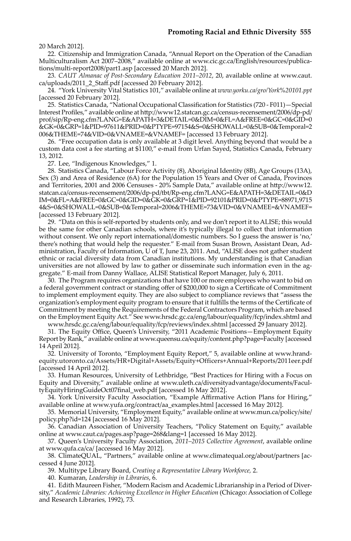20 March 2012].

22. Citizenship and Immigration Canada, "Annual Report on the Operation of the Canadian Multiculturalism Act 2007–2008," available online at www.cic.gc.ca/English/resources/publications/multi-report2008/part1.asp [accessed 20 March 2012].

23. *CAUT Almanac of Post-Secondary Education 2011–2012*, 20, available online at www.caut. ca/uploads/2011\_2\_Staff.pdf [accessed 20 February 2012].

24. "York University Vital Statistics 101," available online at *www.yorku.ca/gro/York%20101.ppt*  [accessed 20 February 2012].

25. Statistics Canada, "National Occupational Classification for Statistics (720 - F011)—Special Interest Profiles," available online at http://www12.statcan.gc.ca/census-recensement/2006/dp-pd/ prof/sip/Rp-eng.cfm?LANG=E&APATH=3&DETAIL=0&DIM=0&FL=A&FREE=0&GC=0&GID=0 &GK=0&GRP=1&PID=97611&PRID=0&PTYPE=97154&S=0&SHOWALL=0&SUB=0&Temporal=2 006&THEME=74&VID=0&VNAMEE=&VNAMEF= [accessed 13 February 2012].

26. "Free occupation data is only available at 3 digit level. Anything beyond that would be a custom data cost a fee starting at \$1100," e-mail from Urfan Sayed, Statistics Canada, February 13, 2012.

27. Lee, "Indigenous Knowledges," 1.

28. Statistics Canada, "Labour Force Activity (8), Aboriginal Identity (8B), Age Groups (13A), Sex (3) and Area of Residence (6A) for the Population 15 Years and Over of Canada, Provinces and Territories, 2001 and 2006 Censuses - 20% Sample Data," available online at http://www12. statcan.ca/census-recensement/2006/dp-pd/tbt/Rp-eng.cfm?LANG=E&APATH=3&DETAIL=0&D IM=0&FL=A&FREE=0&GC=0&GID=0&GK=0&GRP=1&PID=92101&PRID=0&PTYPE=88971,9715 4&S=0&SHOWALL=0&SUB=0&Temporal=2006&THEME=73&VID=0&VNAMEE=&VNAMEF= [accessed 13 February 2012].

29. "Data on this is self-reported by students only, and we don't report it to ALISE; this would be the same for other Canadian schools, where it's typically illegal to collect that information without consent. We only report international/domestic numbers. So I guess the answer is 'no,' there's nothing that would help the requester." E-mail from Susan Brown, Assistant Dean, Administration, Faculty of Information, U of T, June 23, 2011. And, "ALISE does not gather student ethnic or racial diversity data from Canadian institutions. My understanding is that Canadian universities are not allowed by law to gather or disseminate such information even in the aggregate." E-mail from Danny Wallace, ALISE Statistical Report Manager, July 6, 2011.

30. The Program requires organizations that have 100 or more employees who want to bid on a federal government contract or standing offer of \$200,000 to sign a Certificate of Commitment to implement employment equity. They are also subject to compliance reviews that "assess the organization's employment equity program to ensure that it fulfills the terms of the Certificate of Commitment by meeting the Requirements of the Federal Contractors Program, which are based on the Employment Equity Act." See www.hrsdc.gc.ca/eng/labour/equality/fcp/index.shtml and

www.hrsdc.gc.ca/eng/labour/equality/fcp/reviews/index.shtml [accessed 29 January 2012].

31. The Equity Office, Queen's University, "2011 Academic Positions—Employment Equity Report by Rank," available online at www.queensu.ca/equity/content.php?page=Faculty [accessed 14 April 2012].

32. University of Toronto, "Employment Equity Report," 5, available online at www.hrandequity.utoronto.ca/Assets/HR+Digital+Assets/Equity+Officers+Annual+Reports/2011eer.pdf [accessed 14 April 2012].

33. Human Resources, University of Lethbridge, "Best Practices for Hiring with a Focus on Equity and Diversity," available online at www.uleth.ca/diversityadvantage/documents/FacultyEquityHiringGuideOct07final\_web.pdf [accessed 16 May 2012].

34. York University Faculty Association, "Example Affirmative Action Plans for Hiring," available online at www.yufa.org/contract/aa\_examples.html [accessed 16 May 2012].

35. Memorial University, "Employment Equity," available online at www.mun.ca/policy/site/ policy.php?id=124 [accessed 16 May 2012].

36. Canadian Association of University Teachers, "Policy Statement on Equity," available online at www.caut.ca/pages.asp?page=268&lang=1 [accessed 16 May 2012].

37. Queen's University Faculty Association, *2011–2015 Collective Agreement*, available online at www.qufa.ca/ca/ [accessed 16 May 2012].

38. ClimateQUAL, "Partners," available online at www.climatequal.org/about/partners [accessed 4 June 2012].

39. Multitype Library Board, *Creating a Representative Library Workforce,* 2.

40. Kumaran, *Leadership in Libraries*, 6.

41. Edith Maureen Fisher, "Modern Racism and Academic Librarianship in a Period of Diversity," *Academic Libraries: Achieving Excellence in Higher Education* (Chicago: Association of College and Research Libraries, 1992), 73.